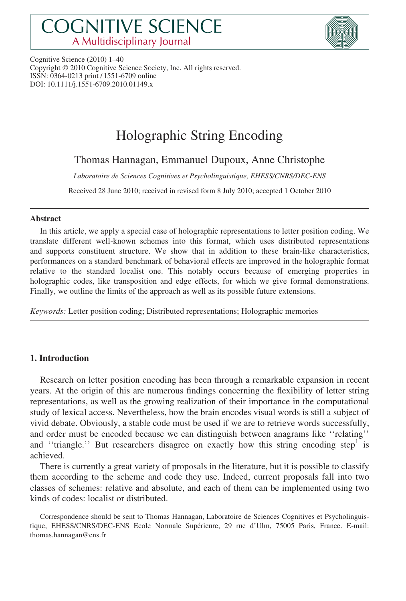# **COGNITIVE SCIENCE** A Multidisciplinary Journal



Cognitive Science (2010) 1–40 Copyright © 2010 Cognitive Science Society, Inc. All rights reserved. ISSN: 0364-0213 print / 1551-6709 online DOI: 10.1111/j.1551-6709.2010.01149.x

# Holographic String Encoding

# Thomas Hannagan, Emmanuel Dupoux, Anne Christophe

Laboratoire de Sciences Cognitives et Psycholinguistique, EHESS/CNRS/DEC-ENS

Received 28 June 2010; received in revised form 8 July 2010; accepted 1 October 2010

# Abstract

In this article, we apply a special case of holographic representations to letter position coding. We translate different well-known schemes into this format, which uses distributed representations and supports constituent structure. We show that in addition to these brain-like characteristics, performances on a standard benchmark of behavioral effects are improved in the holographic format relative to the standard localist one. This notably occurs because of emerging properties in holographic codes, like transposition and edge effects, for which we give formal demonstrations. Finally, we outline the limits of the approach as well as its possible future extensions.

Keywords: Letter position coding; Distributed representations; Holographic memories

# 1. Introduction

Research on letter position encoding has been through a remarkable expansion in recent years. At the origin of this are numerous findings concerning the flexibility of letter string representations, as well as the growing realization of their importance in the computational study of lexical access. Nevertheless, how the brain encodes visual words is still a subject of vivid debate. Obviously, a stable code must be used if we are to retrieve words successfully, and order must be encoded because we can distinguish between anagrams like ''relating'' and "triangle." But researchers disagree on exactly how this string encoding step<sup>1</sup> is achieved.

There is currently a great variety of proposals in the literature, but it is possible to classify them according to the scheme and code they use. Indeed, current proposals fall into two classes of schemes: relative and absolute, and each of them can be implemented using two kinds of codes: localist or distributed.

Correspondence should be sent to Thomas Hannagan, Laboratoire de Sciences Cognitives et Psycholinguistique, EHESS/CNRS/DEC-ENS Ecole Normale Supérieure, 29 rue d'Ulm, 75005 Paris, France. E-mail: thomas.hannagan@ens.fr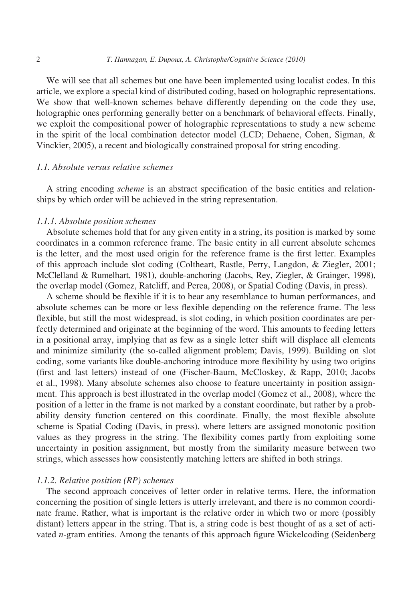We will see that all schemes but one have been implemented using localist codes. In this article, we explore a special kind of distributed coding, based on holographic representations. We show that well-known schemes behave differently depending on the code they use, holographic ones performing generally better on a benchmark of behavioral effects. Finally, we exploit the compositional power of holographic representations to study a new scheme in the spirit of the local combination detector model (LCD; Dehaene, Cohen, Sigman, & Vinckier, 2005), a recent and biologically constrained proposal for string encoding.

# 1.1. Absolute versus relative schemes

A string encoding scheme is an abstract specification of the basic entities and relationships by which order will be achieved in the string representation.

#### 1.1.1. Absolute position schemes

Absolute schemes hold that for any given entity in a string, its position is marked by some coordinates in a common reference frame. The basic entity in all current absolute schemes is the letter, and the most used origin for the reference frame is the first letter. Examples of this approach include slot coding (Coltheart, Rastle, Perry, Langdon, & Ziegler, 2001; McClelland & Rumelhart, 1981), double-anchoring (Jacobs, Rey, Ziegler, & Grainger, 1998), the overlap model (Gomez, Ratcliff, and Perea, 2008), or Spatial Coding (Davis, in press).

A scheme should be flexible if it is to bear any resemblance to human performances, and absolute schemes can be more or less flexible depending on the reference frame. The less flexible, but still the most widespread, is slot coding, in which position coordinates are perfectly determined and originate at the beginning of the word. This amounts to feeding letters in a positional array, implying that as few as a single letter shift will displace all elements and minimize similarity (the so-called alignment problem; Davis, 1999). Building on slot coding, some variants like double-anchoring introduce more flexibility by using two origins (first and last letters) instead of one (Fischer-Baum, McCloskey, & Rapp, 2010; Jacobs et al., 1998). Many absolute schemes also choose to feature uncertainty in position assignment. This approach is best illustrated in the overlap model (Gomez et al., 2008), where the position of a letter in the frame is not marked by a constant coordinate, but rather by a probability density function centered on this coordinate. Finally, the most flexible absolute scheme is Spatial Coding (Davis, in press), where letters are assigned monotonic position values as they progress in the string. The flexibility comes partly from exploiting some uncertainty in position assignment, but mostly from the similarity measure between two strings, which assesses how consistently matching letters are shifted in both strings.

#### 1.1.2. Relative position (RP) schemes

The second approach conceives of letter order in relative terms. Here, the information concerning the position of single letters is utterly irrelevant, and there is no common coordinate frame. Rather, what is important is the relative order in which two or more (possibly distant) letters appear in the string. That is, a string code is best thought of as a set of activated n-gram entities. Among the tenants of this approach figure Wickelcoding (Seidenberg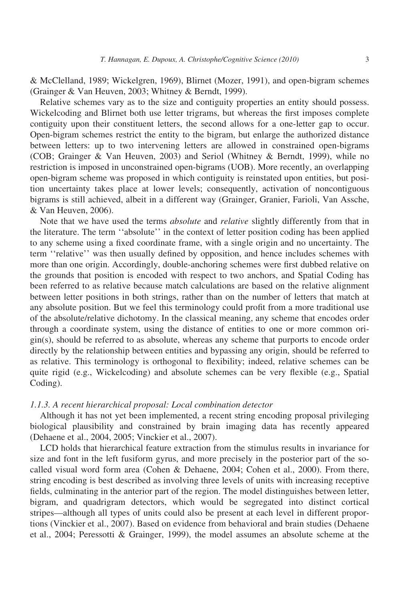& McClelland, 1989; Wickelgren, 1969), Blirnet (Mozer, 1991), and open-bigram schemes (Grainger & Van Heuven, 2003; Whitney & Berndt, 1999).

Relative schemes vary as to the size and contiguity properties an entity should possess. Wickelcoding and Blirnet both use letter trigrams, but whereas the first imposes complete contiguity upon their constituent letters, the second allows for a one-letter gap to occur. Open-bigram schemes restrict the entity to the bigram, but enlarge the authorized distance between letters: up to two intervening letters are allowed in constrained open-bigrams (COB; Grainger & Van Heuven, 2003) and Seriol (Whitney & Berndt, 1999), while no restriction is imposed in unconstrained open-bigrams (UOB). More recently, an overlapping open-bigram scheme was proposed in which contiguity is reinstated upon entities, but position uncertainty takes place at lower levels; consequently, activation of noncontiguous bigrams is still achieved, albeit in a different way (Grainger, Granier, Farioli, Van Assche, & Van Heuven, 2006).

Note that we have used the terms *absolute* and *relative* slightly differently from that in the literature. The term ''absolute'' in the context of letter position coding has been applied to any scheme using a fixed coordinate frame, with a single origin and no uncertainty. The term ''relative'' was then usually defined by opposition, and hence includes schemes with more than one origin. Accordingly, double-anchoring schemes were first dubbed relative on the grounds that position is encoded with respect to two anchors, and Spatial Coding has been referred to as relative because match calculations are based on the relative alignment between letter positions in both strings, rather than on the number of letters that match at any absolute position. But we feel this terminology could profit from a more traditional use of the absolute/relative dichotomy. In the classical meaning, any scheme that encodes order through a coordinate system, using the distance of entities to one or more common origin(s), should be referred to as absolute, whereas any scheme that purports to encode order directly by the relationship between entities and bypassing any origin, should be referred to as relative. This terminology is orthogonal to flexibility; indeed, relative schemes can be quite rigid (e.g., Wickelcoding) and absolute schemes can be very flexible (e.g., Spatial Coding).

# 1.1.3. A recent hierarchical proposal: Local combination detector

Although it has not yet been implemented, a recent string encoding proposal privileging biological plausibility and constrained by brain imaging data has recently appeared (Dehaene et al., 2004, 2005; Vinckier et al., 2007).

LCD holds that hierarchical feature extraction from the stimulus results in invariance for size and font in the left fusiform gyrus, and more precisely in the posterior part of the socalled visual word form area (Cohen & Dehaene, 2004; Cohen et al., 2000). From there, string encoding is best described as involving three levels of units with increasing receptive fields, culminating in the anterior part of the region. The model distinguishes between letter, bigram, and quadrigram detectors, which would be segregated into distinct cortical stripes—although all types of units could also be present at each level in different proportions (Vinckier et al., 2007). Based on evidence from behavioral and brain studies (Dehaene et al., 2004; Peressotti & Grainger, 1999), the model assumes an absolute scheme at the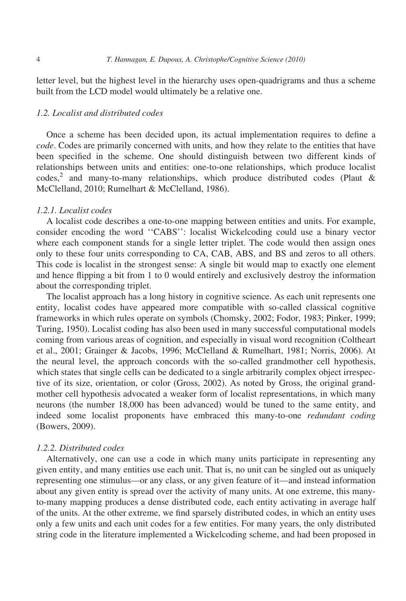letter level, but the highest level in the hierarchy uses open-quadrigrams and thus a scheme built from the LCD model would ultimately be a relative one.

## 1.2. Localist and distributed codes

Once a scheme has been decided upon, its actual implementation requires to define a code. Codes are primarily concerned with units, and how they relate to the entities that have been specified in the scheme. One should distinguish between two different kinds of relationships between units and entities: one-to-one relationships, which produce localist codes,<sup>2</sup> and many-to-many relationships, which produce distributed codes (Plaut  $\&$ McClelland, 2010; Rumelhart & McClelland, 1986).

# 1.2.1. Localist codes

A localist code describes a one-to-one mapping between entities and units. For example, consider encoding the word ''CABS'': localist Wickelcoding could use a binary vector where each component stands for a single letter triplet. The code would then assign ones only to these four units corresponding to CA, CAB, ABS, and BS and zeros to all others. This code is localist in the strongest sense: A single bit would map to exactly one element and hence flipping a bit from 1 to 0 would entirely and exclusively destroy the information about the corresponding triplet.

The localist approach has a long history in cognitive science. As each unit represents one entity, localist codes have appeared more compatible with so-called classical cognitive frameworks in which rules operate on symbols (Chomsky, 2002; Fodor, 1983; Pinker, 1999; Turing, 1950). Localist coding has also been used in many successful computational models coming from various areas of cognition, and especially in visual word recognition (Coltheart et al., 2001; Grainger & Jacobs, 1996; McClelland & Rumelhart, 1981; Norris, 2006). At the neural level, the approach concords with the so-called grandmother cell hypothesis, which states that single cells can be dedicated to a single arbitrarily complex object irrespective of its size, orientation, or color (Gross, 2002). As noted by Gross, the original grandmother cell hypothesis advocated a weaker form of localist representations, in which many neurons (the number 18,000 has been advanced) would be tuned to the same entity, and indeed some localist proponents have embraced this many-to-one redundant coding (Bowers, 2009).

#### 1.2.2. Distributed codes

Alternatively, one can use a code in which many units participate in representing any given entity, and many entities use each unit. That is, no unit can be singled out as uniquely representing one stimulus—or any class, or any given feature of it—and instead information about any given entity is spread over the activity of many units. At one extreme, this manyto-many mapping produces a dense distributed code, each entity activating in average half of the units. At the other extreme, we find sparsely distributed codes, in which an entity uses only a few units and each unit codes for a few entities. For many years, the only distributed string code in the literature implemented a Wickelcoding scheme, and had been proposed in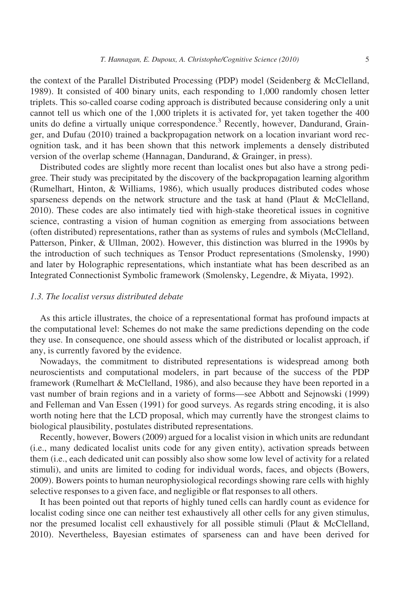the context of the Parallel Distributed Processing (PDP) model (Seidenberg & McClelland, 1989). It consisted of 400 binary units, each responding to 1,000 randomly chosen letter triplets. This so-called coarse coding approach is distributed because considering only a unit cannot tell us which one of the 1,000 triplets it is activated for, yet taken together the 400 units do define a virtually unique correspondence.<sup>3</sup> Recently, however, Dandurand, Grainger, and Dufau (2010) trained a backpropagation network on a location invariant word recognition task, and it has been shown that this network implements a densely distributed version of the overlap scheme (Hannagan, Dandurand, & Grainger, in press).

Distributed codes are slightly more recent than localist ones but also have a strong pedigree. Their study was precipitated by the discovery of the backpropagation learning algorithm (Rumelhart, Hinton, & Williams, 1986), which usually produces distributed codes whose sparseness depends on the network structure and the task at hand (Plaut & McClelland, 2010). These codes are also intimately tied with high-stake theoretical issues in cognitive science, contrasting a vision of human cognition as emerging from associations between (often distributed) representations, rather than as systems of rules and symbols (McClelland, Patterson, Pinker, & Ullman, 2002). However, this distinction was blurred in the 1990s by the introduction of such techniques as Tensor Product representations (Smolensky, 1990) and later by Holographic representations, which instantiate what has been described as an Integrated Connectionist Symbolic framework (Smolensky, Legendre, & Miyata, 1992).

# 1.3. The localist versus distributed debate

As this article illustrates, the choice of a representational format has profound impacts at the computational level: Schemes do not make the same predictions depending on the code they use. In consequence, one should assess which of the distributed or localist approach, if any, is currently favored by the evidence.

Nowadays, the commitment to distributed representations is widespread among both neuroscientists and computational modelers, in part because of the success of the PDP framework (Rumelhart & McClelland, 1986), and also because they have been reported in a vast number of brain regions and in a variety of forms—see Abbott and Sejnowski (1999) and Felleman and Van Essen (1991) for good surveys. As regards string encoding, it is also worth noting here that the LCD proposal, which may currently have the strongest claims to biological plausibility, postulates distributed representations.

Recently, however, Bowers (2009) argued for a localist vision in which units are redundant (i.e., many dedicated localist units code for any given entity), activation spreads between them (i.e., each dedicated unit can possibly also show some low level of activity for a related stimuli), and units are limited to coding for individual words, faces, and objects (Bowers, 2009). Bowers points to human neurophysiological recordings showing rare cells with highly selective responses to a given face, and negligible or flat responses to all others.

It has been pointed out that reports of highly tuned cells can hardly count as evidence for localist coding since one can neither test exhaustively all other cells for any given stimulus, nor the presumed localist cell exhaustively for all possible stimuli (Plaut & McClelland, 2010). Nevertheless, Bayesian estimates of sparseness can and have been derived for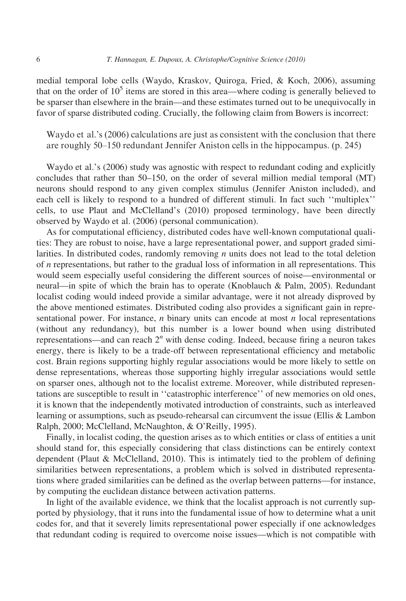medial temporal lobe cells (Waydo, Kraskov, Quiroga, Fried, & Koch, 2006), assuming that on the order of  $10^5$  items are stored in this area—where coding is generally believed to be sparser than elsewhere in the brain—and these estimates turned out to be unequivocally in favor of sparse distributed coding. Crucially, the following claim from Bowers is incorrect:

Waydo et al.'s (2006) calculations are just as consistent with the conclusion that there are roughly 50–150 redundant Jennifer Aniston cells in the hippocampus. (p. 245)

Waydo et al.'s (2006) study was agnostic with respect to redundant coding and explicitly concludes that rather than 50–150, on the order of several million medial temporal (MT) neurons should respond to any given complex stimulus (Jennifer Aniston included), and each cell is likely to respond to a hundred of different stimuli. In fact such ''multiplex'' cells, to use Plaut and McClelland's (2010) proposed terminology, have been directly observed by Waydo et al. (2006) (personal communication).

As for computational efficiency, distributed codes have well-known computational qualities: They are robust to noise, have a large representational power, and support graded similarities. In distributed codes, randomly removing  $n$  units does not lead to the total deletion of n representations, but rather to the gradual loss of information in all representations. This would seem especially useful considering the different sources of noise—environmental or neural—in spite of which the brain has to operate (Knoblauch & Palm, 2005). Redundant localist coding would indeed provide a similar advantage, were it not already disproved by the above mentioned estimates. Distributed coding also provides a significant gain in representational power. For instance,  $n$  binary units can encode at most  $n$  local representations (without any redundancy), but this number is a lower bound when using distributed representations—and can reach  $2<sup>n</sup>$  with dense coding. Indeed, because firing a neuron takes energy, there is likely to be a trade-off between representational efficiency and metabolic cost. Brain regions supporting highly regular associations would be more likely to settle on dense representations, whereas those supporting highly irregular associations would settle on sparser ones, although not to the localist extreme. Moreover, while distributed representations are susceptible to result in ''catastrophic interference'' of new memories on old ones, it is known that the independently motivated introduction of constraints, such as interleaved learning or assumptions, such as pseudo-rehearsal can circumvent the issue (Ellis & Lambon Ralph, 2000; McClelland, McNaughton, & O'Reilly, 1995).

Finally, in localist coding, the question arises as to which entities or class of entities a unit should stand for, this especially considering that class distinctions can be entirely context dependent (Plaut & McClelland, 2010). This is intimately tied to the problem of defining similarities between representations, a problem which is solved in distributed representations where graded similarities can be defined as the overlap between patterns—for instance, by computing the euclidean distance between activation patterns.

In light of the available evidence, we think that the localist approach is not currently supported by physiology, that it runs into the fundamental issue of how to determine what a unit codes for, and that it severely limits representational power especially if one acknowledges that redundant coding is required to overcome noise issues—which is not compatible with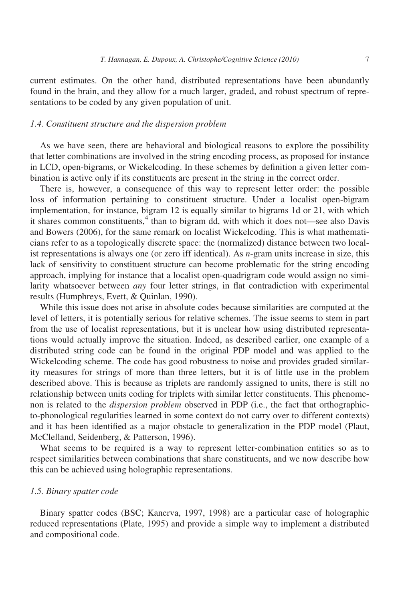current estimates. On the other hand, distributed representations have been abundantly found in the brain, and they allow for a much larger, graded, and robust spectrum of representations to be coded by any given population of unit.

#### 1.4. Constituent structure and the dispersion problem

As we have seen, there are behavioral and biological reasons to explore the possibility that letter combinations are involved in the string encoding process, as proposed for instance in LCD, open-bigrams, or Wickelcoding. In these schemes by definition a given letter combination is active only if its constituents are present in the string in the correct order.

There is, however, a consequence of this way to represent letter order: the possible loss of information pertaining to constituent structure. Under a localist open-bigram implementation, for instance, bigram 12 is equally similar to bigrams 1d or 21, with which it shares common constituents,<sup>4</sup> than to bigram dd, with which it does not—see also Davis and Bowers (2006), for the same remark on localist Wickelcoding. This is what mathematicians refer to as a topologically discrete space: the (normalized) distance between two localist representations is always one (or zero iff identical). As n-gram units increase in size, this lack of sensitivity to constituent structure can become problematic for the string encoding approach, implying for instance that a localist open-quadrigram code would assign no similarity whatsoever between *any* four letter strings, in flat contradiction with experimental results (Humphreys, Evett, & Quinlan, 1990).

While this issue does not arise in absolute codes because similarities are computed at the level of letters, it is potentially serious for relative schemes. The issue seems to stem in part from the use of localist representations, but it is unclear how using distributed representations would actually improve the situation. Indeed, as described earlier, one example of a distributed string code can be found in the original PDP model and was applied to the Wickelcoding scheme. The code has good robustness to noise and provides graded similarity measures for strings of more than three letters, but it is of little use in the problem described above. This is because as triplets are randomly assigned to units, there is still no relationship between units coding for triplets with similar letter constituents. This phenomenon is related to the dispersion problem observed in PDP (i.e., the fact that orthographicto-phonological regularities learned in some context do not carry over to different contexts) and it has been identified as a major obstacle to generalization in the PDP model (Plaut, McClelland, Seidenberg, & Patterson, 1996).

What seems to be required is a way to represent letter-combination entities so as to respect similarities between combinations that share constituents, and we now describe how this can be achieved using holographic representations.

#### 1.5. Binary spatter code

Binary spatter codes (BSC; Kanerva, 1997, 1998) are a particular case of holographic reduced representations (Plate, 1995) and provide a simple way to implement a distributed and compositional code.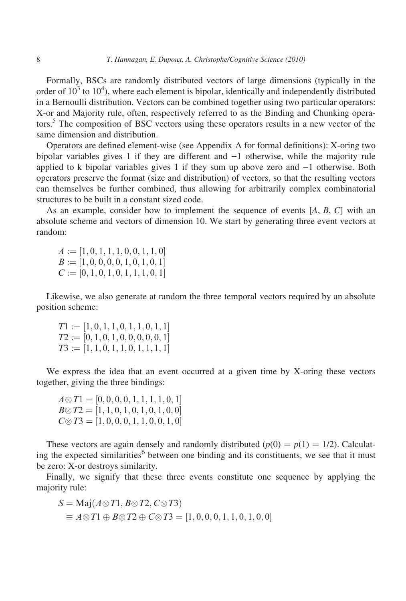Formally, BSCs are randomly distributed vectors of large dimensions (typically in the order of  $10^3$  to  $10^4$ ), where each element is bipolar, identically and independently distributed in a Bernoulli distribution. Vectors can be combined together using two particular operators: X-or and Majority rule, often, respectively referred to as the Binding and Chunking operators.<sup>5</sup> The composition of BSC vectors using these operators results in a new vector of the same dimension and distribution.

Operators are defined element-wise (see Appendix A for formal definitions): X-oring two bipolar variables gives 1 if they are different and  $-1$  otherwise, while the majority rule applied to k bipolar variables gives 1 if they sum up above zero and  $-1$  otherwise. Both operators preserve the format (size and distribution) of vectors, so that the resulting vectors can themselves be further combined, thus allowing for arbitrarily complex combinatorial structures to be built in a constant sized code.

As an example, consider how to implement the sequence of events  $[A, B, C]$  with an absolute scheme and vectors of dimension 10. We start by generating three event vectors at random:

 $A := [1, 0, 1, 1, 1, 0, 0, 1, 1, 0]$  $B := [1, 0, 0, 0, 0, 1, 0, 1, 0, 1]$  $C := [0, 1, 0, 1, 0, 1, 1, 1, 0, 1]$ 

Likewise, we also generate at random the three temporal vectors required by an absolute position scheme:

 $T1 := [1, 0, 1, 1, 0, 1, 1, 0, 1, 1]$  $T2 \coloneqq [0, 1, 0, 1, 0, 0, 0, 0, 0, 1]$  $T3 \coloneqq [1, 1, 0, 1, 1, 0, 1, 1, 1, 1]$ 

We express the idea that an event occurred at a given time by X-oring these vectors together, giving the three bindings:

 $A \otimes T1 = [0, 0, 0, 0, 1, 1, 1, 1, 0, 1]$  $B \otimes T2 = [1, 1, 0, 1, 0, 1, 0, 1, 0, 0]$  $C \otimes T3 = [1, 0, 0, 0, 1, 1, 0, 0, 1, 0]$ 

These vectors are again densely and randomly distributed  $(p(0) = p(1) = 1/2)$ . Calculating the expected similarities<sup>6</sup> between one binding and its constituents, we see that it must be zero: X-or destroys similarity.

Finally, we signify that these three events constitute one sequence by applying the majority rule:

$$
S = \text{Maj}(A \otimes T1, B \otimes T2, C \otimes T3)
$$
  

$$
\equiv A \otimes T1 \oplus B \otimes T2 \oplus C \otimes T3 = [1, 0, 0, 0, 1, 1, 0, 1, 0, 0]
$$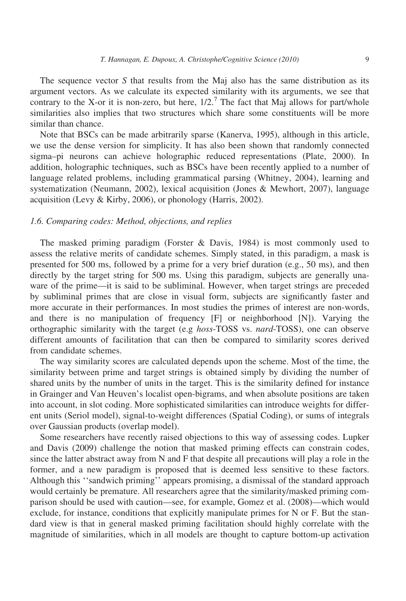The sequence vector  $S$  that results from the Maj also has the same distribution as its argument vectors. As we calculate its expected similarity with its arguments, we see that contrary to the X-or it is non-zero, but here,  $1/2$ .<sup>7</sup> The fact that Maj allows for part/whole similarities also implies that two structures which share some constituents will be more similar than chance.

Note that BSCs can be made arbitrarily sparse (Kanerva, 1995), although in this article, we use the dense version for simplicity. It has also been shown that randomly connected sigma–pi neurons can achieve holographic reduced representations (Plate, 2000). In addition, holographic techniques, such as BSCs have been recently applied to a number of language related problems, including grammatical parsing (Whitney, 2004), learning and systematization (Neumann, 2002), lexical acquisition (Jones & Mewhort, 2007), language acquisition (Levy & Kirby, 2006), or phonology (Harris, 2002).

#### 1.6. Comparing codes: Method, objections, and replies

The masked priming paradigm (Forster & Davis, 1984) is most commonly used to assess the relative merits of candidate schemes. Simply stated, in this paradigm, a mask is presented for 500 ms, followed by a prime for a very brief duration (e.g., 50 ms), and then directly by the target string for 500 ms. Using this paradigm, subjects are generally unaware of the prime—it is said to be subliminal. However, when target strings are preceded by subliminal primes that are close in visual form, subjects are significantly faster and more accurate in their performances. In most studies the primes of interest are non-words, and there is no manipulation of frequency [F] or neighborhood [N]). Varying the orthographic similarity with the target (e.g hoss-TOSS vs. nard-TOSS), one can observe different amounts of facilitation that can then be compared to similarity scores derived from candidate schemes.

The way similarity scores are calculated depends upon the scheme. Most of the time, the similarity between prime and target strings is obtained simply by dividing the number of shared units by the number of units in the target. This is the similarity defined for instance in Grainger and Van Heuven's localist open-bigrams, and when absolute positions are taken into account, in slot coding. More sophisticated similarities can introduce weights for different units (Seriol model), signal-to-weight differences (Spatial Coding), or sums of integrals over Gaussian products (overlap model).

Some researchers have recently raised objections to this way of assessing codes. Lupker and Davis (2009) challenge the notion that masked priming effects can constrain codes, since the latter abstract away from N and F that despite all precautions will play a role in the former, and a new paradigm is proposed that is deemed less sensitive to these factors. Although this ''sandwich priming'' appears promising, a dismissal of the standard approach would certainly be premature. All researchers agree that the similarity/masked priming comparison should be used with caution—see, for example, Gomez et al. (2008)—which would exclude, for instance, conditions that explicitly manipulate primes for N or F. But the standard view is that in general masked priming facilitation should highly correlate with the magnitude of similarities, which in all models are thought to capture bottom-up activation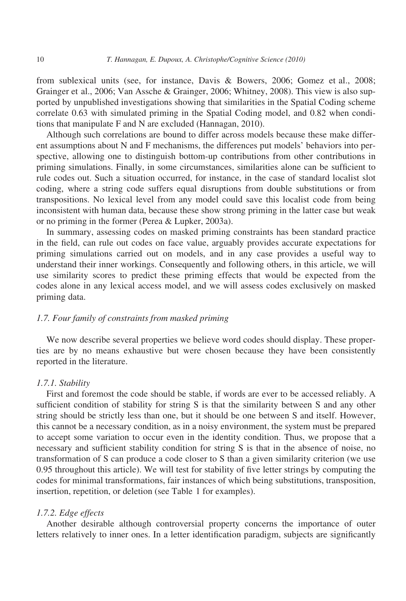from sublexical units (see, for instance, Davis & Bowers, 2006; Gomez et al., 2008; Grainger et al., 2006; Van Assche & Grainger, 2006; Whitney, 2008). This view is also supported by unpublished investigations showing that similarities in the Spatial Coding scheme correlate 0.63 with simulated priming in the Spatial Coding model, and 0.82 when conditions that manipulate F and N are excluded (Hannagan, 2010).

Although such correlations are bound to differ across models because these make different assumptions about N and F mechanisms, the differences put models' behaviors into perspective, allowing one to distinguish bottom-up contributions from other contributions in priming simulations. Finally, in some circumstances, similarities alone can be sufficient to rule codes out. Such a situation occurred, for instance, in the case of standard localist slot coding, where a string code suffers equal disruptions from double substitutions or from transpositions. No lexical level from any model could save this localist code from being inconsistent with human data, because these show strong priming in the latter case but weak or no priming in the former (Perea & Lupker, 2003a).

In summary, assessing codes on masked priming constraints has been standard practice in the field, can rule out codes on face value, arguably provides accurate expectations for priming simulations carried out on models, and in any case provides a useful way to understand their inner workings. Consequently and following others, in this article, we will use similarity scores to predict these priming effects that would be expected from the codes alone in any lexical access model, and we will assess codes exclusively on masked priming data.

#### 1.7. Four family of constraints from masked priming

We now describe several properties we believe word codes should display. These properties are by no means exhaustive but were chosen because they have been consistently reported in the literature.

#### 1.7.1. Stability

First and foremost the code should be stable, if words are ever to be accessed reliably. A sufficient condition of stability for string S is that the similarity between S and any other string should be strictly less than one, but it should be one between S and itself. However, this cannot be a necessary condition, as in a noisy environment, the system must be prepared to accept some variation to occur even in the identity condition. Thus, we propose that a necessary and sufficient stability condition for string S is that in the absence of noise, no transformation of S can produce a code closer to S than a given similarity criterion (we use 0.95 throughout this article). We will test for stability of five letter strings by computing the codes for minimal transformations, fair instances of which being substitutions, transposition, insertion, repetition, or deletion (see Table 1 for examples).

#### 1.7.2. Edge effects

Another desirable although controversial property concerns the importance of outer letters relatively to inner ones. In a letter identification paradigm, subjects are significantly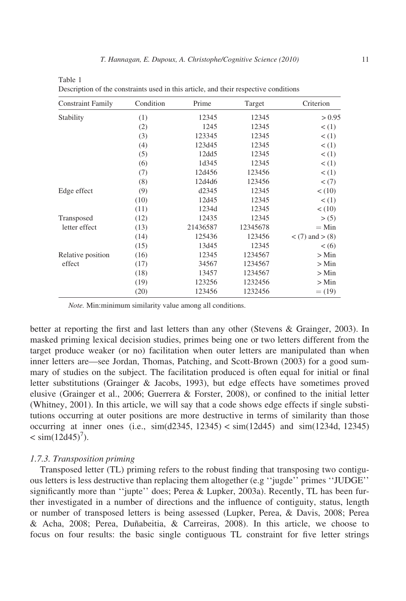| <b>Constraint Family</b> | Condition | Prime    | Target   | Criterion           |
|--------------------------|-----------|----------|----------|---------------------|
| Stability                | (1)       | 12345    | 12345    | > 0.95              |
|                          | (2)       | 1245     | 12345    | $\lt(1)$            |
|                          | (3)       | 123345   | 12345    | $\lt(1)$            |
|                          | (4)       | 123d45   | 12345    | $\lt(1)$            |
|                          | (5)       | 12dd5    | 12345    | $\lt(1)$            |
|                          | (6)       | 1d345    | 12345    | $\lt(1)$            |
|                          | (7)       | 12d456   | 123456   | $\lt(1)$            |
|                          | (8)       | 12d4d6   | 123456   | (7)                 |
| Edge effect              | (9)       | d2345    | 12345    | (10)                |
|                          | (10)      | 12d45    | 12345    | $\lt(1)$            |
|                          | (11)      | 1234d    | 12345    | (10)                |
| Transposed               | (12)      | 12435    | 12345    | >(5)                |
| letter effect            | (13)      | 21436587 | 12345678 | $=$ Min             |
|                          | (14)      | 125436   | 123456   | $<$ (7) and $>$ (8) |
|                          | (15)      | 13d45    | 12345    | (6)                 |
| Relative position        | (16)      | 12345    | 1234567  | $>$ Min             |
| effect                   | (17)      | 34567    | 1234567  | $>$ Min             |
|                          | (18)      | 13457    | 1234567  | $>$ Min             |
|                          | (19)      | 123256   | 1232456  | $>$ Min             |
|                          | (20)      | 123456   | 1232456  | $=$ (19)            |
|                          |           |          |          |                     |

Table 1

Description of the constraints used in this article, and their respective conditions

Note. Min:minimum similarity value among all conditions.

better at reporting the first and last letters than any other (Stevens & Grainger, 2003). In masked priming lexical decision studies, primes being one or two letters different from the target produce weaker (or no) facilitation when outer letters are manipulated than when inner letters are—see Jordan, Thomas, Patching, and Scott-Brown (2003) for a good summary of studies on the subject. The facilitation produced is often equal for initial or final letter substitutions (Grainger & Jacobs, 1993), but edge effects have sometimes proved elusive (Grainger et al., 2006; Guerrera & Forster, 2008), or confined to the initial letter (Whitney, 2001). In this article, we will say that a code shows edge effects if single substitutions occurring at outer positions are more destructive in terms of similarity than those occurring at inner ones (i.e.,  $\sin(12345)$ ,  $12345$ )  $\lt \sin(12345)$  and  $\sin(12344)$ ,  $12345$ )  $< \text{sim}(12d45)^7$ ).

#### 1.7.3. Transposition priming

Transposed letter (TL) priming refers to the robust finding that transposing two contiguous letters is less destructive than replacing them altogether (e.g ''jugde'' primes ''JUDGE'' significantly more than "jupte" does; Perea & Lupker, 2003a). Recently, TL has been further investigated in a number of directions and the influence of contiguity, status, length or number of transposed letters is being assessed (Lupker, Perea, & Davis, 2008; Perea & Acha, 2008; Perea, Dun˜abeitia, & Carreiras, 2008). In this article, we choose to focus on four results: the basic single contiguous TL constraint for five letter strings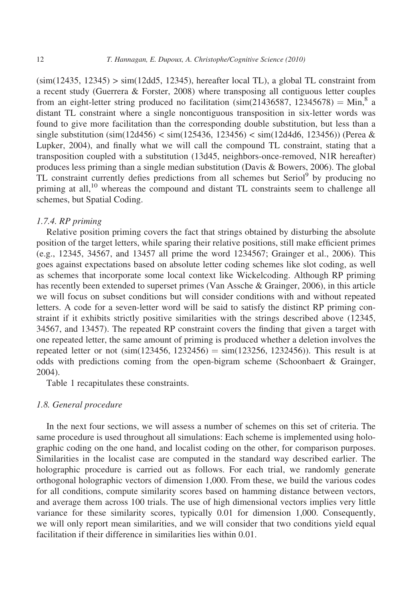$(\text{sim}(12435, 12345) > \text{sim}(12d\text{d}5, 12345)$ , hereafter local TL), a global TL constraint from a recent study (Guerrera & Forster, 2008) where transposing all contiguous letter couples from an eight-letter string produced no facilitation (sim(21436587, 12345678) = Min,<sup>8</sup> a distant TL constraint where a single noncontiguous transposition in six-letter words was found to give more facilitation than the corresponding double substitution, but less than a single substitution (sim(12d456) < sim(125436, 123456) < sim(12d4d6, 123456)) (Perea & Lupker, 2004), and finally what we will call the compound TL constraint, stating that a transposition coupled with a substitution (13d45, neighbors-once-removed, N1R hereafter) produces less priming than a single median substitution (Davis & Bowers, 2006). The global TL constraint currently defies predictions from all schemes but Seriol<sup>9</sup> by producing no priming at all,<sup>10</sup> whereas the compound and distant TL constraints seem to challenge all schemes, but Spatial Coding.

#### 1.7.4. RP priming

Relative position priming covers the fact that strings obtained by disturbing the absolute position of the target letters, while sparing their relative positions, still make efficient primes (e.g., 12345, 34567, and 13457 all prime the word 1234567; Grainger et al., 2006). This goes against expectations based on absolute letter coding schemes like slot coding, as well as schemes that incorporate some local context like Wickelcoding. Although RP priming has recently been extended to superset primes (Van Assche & Grainger, 2006), in this article we will focus on subset conditions but will consider conditions with and without repeated letters. A code for a seven-letter word will be said to satisfy the distinct RP priming constraint if it exhibits strictly positive similarities with the strings described above (12345, 34567, and 13457). The repeated RP constraint covers the finding that given a target with one repeated letter, the same amount of priming is produced whether a deletion involves the repeated letter or not  $(\text{sim}(123456, 1232456)) = \text{sim}(123256, 1232456))$ . This result is at odds with predictions coming from the open-bigram scheme (Schoonbaert & Grainger, 2004).

Table 1 recapitulates these constraints.

# 1.8. General procedure

In the next four sections, we will assess a number of schemes on this set of criteria. The same procedure is used throughout all simulations: Each scheme is implemented using holographic coding on the one hand, and localist coding on the other, for comparison purposes. Similarities in the localist case are computed in the standard way described earlier. The holographic procedure is carried out as follows. For each trial, we randomly generate orthogonal holographic vectors of dimension 1,000. From these, we build the various codes for all conditions, compute similarity scores based on hamming distance between vectors, and average them across 100 trials. The use of high dimensional vectors implies very little variance for these similarity scores, typically 0.01 for dimension 1,000. Consequently, we will only report mean similarities, and we will consider that two conditions yield equal facilitation if their difference in similarities lies within 0.01.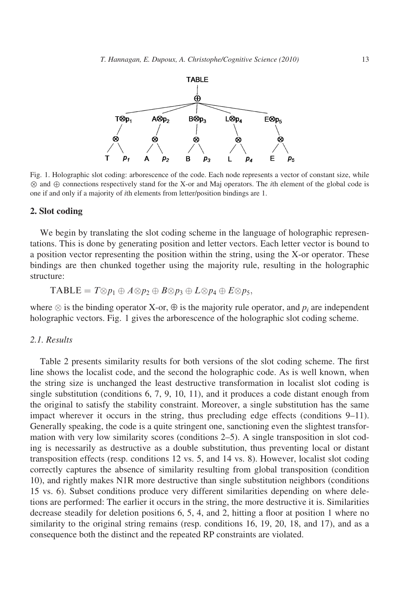

Fig. 1. Holographic slot coding: arborescence of the code. Each node represents a vector of constant size, while  $\otimes$  and  $\oplus$  connections respectively stand for the X-or and Maj operators. The *i*th element of the global code is one if and only if a majority of ith elements from letter/position bindings are 1.

#### 2. Slot coding

We begin by translating the slot coding scheme in the language of holographic representations. This is done by generating position and letter vectors. Each letter vector is bound to a position vector representing the position within the string, using the X-or operator. These bindings are then chunked together using the majority rule, resulting in the holographic structure:

TABLE =  $T \otimes p_1 \oplus A \otimes p_2 \oplus B \otimes p_3 \oplus L \otimes p_4 \oplus E \otimes p_5$ ,

where  $\otimes$  is the binding operator X-or,  $\oplus$  is the majority rule operator, and  $p_i$  are independent holographic vectors. Fig. 1 gives the arborescence of the holographic slot coding scheme.

# 2.1. Results

Table 2 presents similarity results for both versions of the slot coding scheme. The first line shows the localist code, and the second the holographic code. As is well known, when the string size is unchanged the least destructive transformation in localist slot coding is single substitution (conditions 6, 7, 9, 10, 11), and it produces a code distant enough from the original to satisfy the stability constraint. Moreover, a single substitution has the same impact wherever it occurs in the string, thus precluding edge effects (conditions 9–11). Generally speaking, the code is a quite stringent one, sanctioning even the slightest transformation with very low similarity scores (conditions 2–5). A single transposition in slot coding is necessarily as destructive as a double substitution, thus preventing local or distant transposition effects (resp. conditions 12 vs. 5, and 14 vs. 8). However, localist slot coding correctly captures the absence of similarity resulting from global transposition (condition 10), and rightly makes N1R more destructive than single substitution neighbors (conditions 15 vs. 6). Subset conditions produce very different similarities depending on where deletions are performed: The earlier it occurs in the string, the more destructive it is. Similarities decrease steadily for deletion positions 6, 5, 4, and 2, hitting a floor at position 1 where no similarity to the original string remains (resp. conditions 16, 19, 20, 18, and 17), and as a consequence both the distinct and the repeated RP constraints are violated.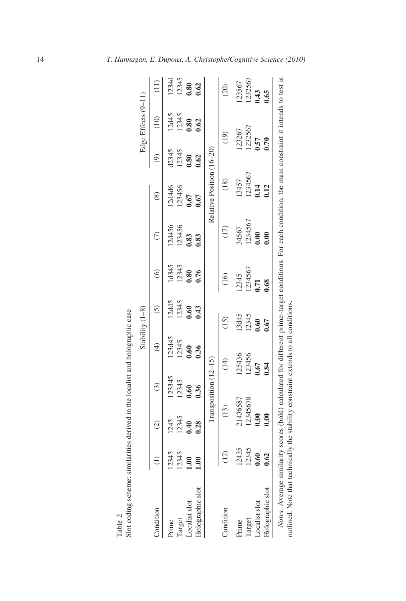|                  |            |               |                       |             | Stability $(1-8)$ |                |               |                           |       | Edge Effects (9-11)          |                                               |
|------------------|------------|---------------|-----------------------|-------------|-------------------|----------------|---------------|---------------------------|-------|------------------------------|-----------------------------------------------|
| Condition        |            | $\widehat{c}$ | $\odot$               | $\bigoplus$ | $\widehat{c}$     | $\circledcirc$ | $\widehat{C}$ | $\circledast$             | ම     | (10)                         | $\left(\begin{matrix}1\ 1\end{matrix}\right)$ |
| Prime            | 12345      | 1245          | 123345                | 123d45      | 12dd5             | Id345          | 2d456         | 12d4d6                    | d2345 | 12d45                        | 1234d                                         |
| Target           | 12345      | 12345         | 12345                 | 12345       | 12345             | 12345          | 123456        | 123456                    | 12345 | 12345                        | 12345                                         |
| -ocalist slot    | $\ddot{0}$ | 0.40          | 0.60                  | 0.60        | 0.60              | 0.80           | 0.83          | 0.67                      | 0.80  | 0.80                         | 0.80                                          |
| Holographic slot |            | 0.28          | 0.36                  | 0.36        | 0.43              | 0.76           | 0.83          | 0.67                      | 0.62  | 0.62                         | 0.62                                          |
|                  |            |               | Transposition (12-15) |             |                   |                |               | Relative Position (16-20) |       |                              |                                               |
| Condition        | (12)       | $(13)$        |                       | (14)        | (15)              | $\frac{16}{1}$ | (17)          | (18)                      |       | $\left( \frac{1}{2} \right)$ | (20)                                          |
| Prime            | 12435      | 21436587      |                       | 125436      | 13d45             | 12345          | 34567         | 13457                     |       | 123267                       | 123567                                        |
| Target           | 12345      | 12345678      |                       | 123456      | 12345             | 1234567        | 1234567       | 1234567                   |       | 1232567                      | 1232567                                       |
| ocalist slot     | 0.60       | 0.00          |                       | 0.67        | 0.60              | 0.71           | 0.00          | 0.14                      | 0.57  |                              | 0.43                                          |
| Holographic slot | 0.62       | 0.00          | 0.84                  |             | 0.67              | 0.68           | 0.00          | 0.12                      | 0.70  |                              | 0.65                                          |

14 T. Hannagan, E. Dupoux, A. Christophe/Cognitive Science (2010)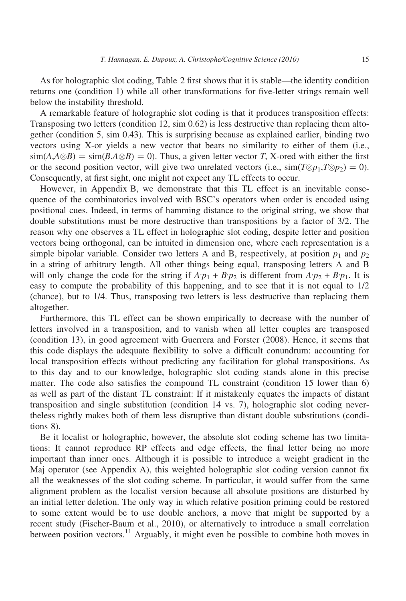As for holographic slot coding, Table 2 first shows that it is stable—the identity condition returns one (condition 1) while all other transformations for five-letter strings remain well below the instability threshold.

A remarkable feature of holographic slot coding is that it produces transposition effects: Transposing two letters (condition 12, sim 0.62) is less destructive than replacing them altogether (condition 5, sim 0.43). This is surprising because as explained earlier, binding two vectors using X-or yields a new vector that bears no similarity to either of them (i.e.,  $\sin(A \triangle B) = \sin(B \triangle B) = 0$ . Thus, a given letter vector T, X-ored with either the first or the second position vector, will give two unrelated vectors (i.e.,  $\text{sim}(T \otimes p_1, T \otimes p_2) = 0$ ). Consequently, at first sight, one might not expect any TL effects to occur.

However, in Appendix B, we demonstrate that this TL effect is an inevitable consequence of the combinatorics involved with BSC's operators when order is encoded using positional cues. Indeed, in terms of hamming distance to the original string, we show that double substitutions must be more destructive than transpositions by a factor of 3/2. The reason why one observes a TL effect in holographic slot coding, despite letter and position vectors being orthogonal, can be intuited in dimension one, where each representation is a simple bipolar variable. Consider two letters A and B, respectively, at position  $p_1$  and  $p_2$ in a string of arbitrary length. All other things being equal, transposing letters A and B will only change the code for the string if  $A \cdot p_1 + B \cdot p_2$  is different from  $A \cdot p_2 + B \cdot p_1$ . It is easy to compute the probability of this happening, and to see that it is not equal to 1/2 (chance), but to 1/4. Thus, transposing two letters is less destructive than replacing them altogether.

Furthermore, this TL effect can be shown empirically to decrease with the number of letters involved in a transposition, and to vanish when all letter couples are transposed (condition 13), in good agreement with Guerrera and Forster (2008). Hence, it seems that this code displays the adequate flexibility to solve a difficult conundrum: accounting for local transposition effects without predicting any facilitation for global transpositions. As to this day and to our knowledge, holographic slot coding stands alone in this precise matter. The code also satisfies the compound TL constraint (condition 15 lower than 6) as well as part of the distant TL constraint: If it mistakenly equates the impacts of distant transposition and single substitution (condition 14 vs. 7), holographic slot coding nevertheless rightly makes both of them less disruptive than distant double substitutions (conditions 8).

Be it localist or holographic, however, the absolute slot coding scheme has two limitations: It cannot reproduce RP effects and edge effects, the final letter being no more important than inner ones. Although it is possible to introduce a weight gradient in the Maj operator (see Appendix A), this weighted holographic slot coding version cannot fix all the weaknesses of the slot coding scheme. In particular, it would suffer from the same alignment problem as the localist version because all absolute positions are disturbed by an initial letter deletion. The only way in which relative position priming could be restored to some extent would be to use double anchors, a move that might be supported by a recent study (Fischer-Baum et al., 2010), or alternatively to introduce a small correlation between position vectors.<sup>11</sup> Arguably, it might even be possible to combine both moves in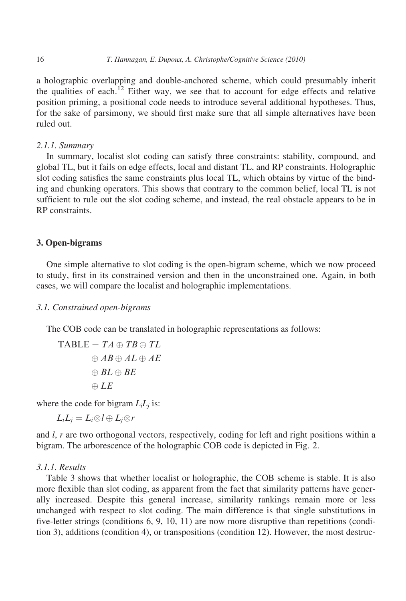a holographic overlapping and double-anchored scheme, which could presumably inherit the qualities of each.<sup>12</sup> Either way, we see that to account for edge effects and relative position priming, a positional code needs to introduce several additional hypotheses. Thus, for the sake of parsimony, we should first make sure that all simple alternatives have been ruled out.

# 2.1.1. Summary

In summary, localist slot coding can satisfy three constraints: stability, compound, and global TL, but it fails on edge effects, local and distant TL, and RP constraints. Holographic slot coding satisfies the same constraints plus local TL, which obtains by virtue of the binding and chunking operators. This shows that contrary to the common belief, local TL is not sufficient to rule out the slot coding scheme, and instead, the real obstacle appears to be in RP constraints.

# 3. Open-bigrams

One simple alternative to slot coding is the open-bigram scheme, which we now proceed to study, first in its constrained version and then in the unconstrained one. Again, in both cases, we will compare the localist and holographic implementations.

#### 3.1. Constrained open-bigrams

The COB code can be translated in holographic representations as follows:

$$
\begin{aligned}\n\text{TABLE} &= TA \oplus TB \oplus TL \\
& \quad \oplus AB \oplus AL \oplus AE \\
& \quad \oplus BL \oplus BE \\
& \quad \oplus LE\n\end{aligned}
$$

where the code for bigram  $L_iL_j$  is:

$$
L_iL_j = L_i \otimes l \oplus L_j \otimes r
$$

and l, r are two orthogonal vectors, respectively, coding for left and right positions within a bigram. The arborescence of the holographic COB code is depicted in Fig. 2.

#### 3.1.1. Results

Table 3 shows that whether localist or holographic, the COB scheme is stable. It is also more flexible than slot coding, as apparent from the fact that similarity patterns have generally increased. Despite this general increase, similarity rankings remain more or less unchanged with respect to slot coding. The main difference is that single substitutions in five-letter strings (conditions 6, 9, 10, 11) are now more disruptive than repetitions (condition 3), additions (condition 4), or transpositions (condition 12). However, the most destruc-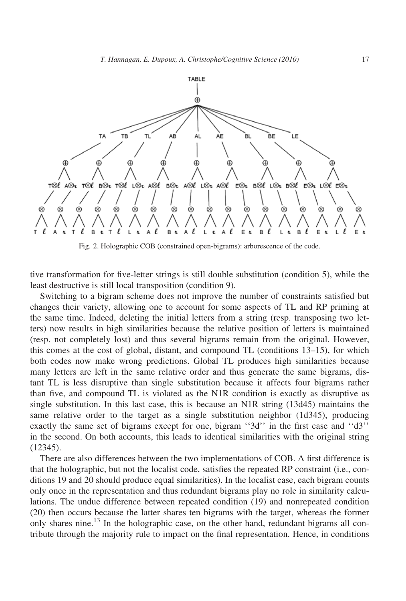

Fig. 2. Holographic COB (constrained open-bigrams): arborescence of the code.

tive transformation for five-letter strings is still double substitution (condition 5), while the least destructive is still local transposition (condition 9).

Switching to a bigram scheme does not improve the number of constraints satisfied but changes their variety, allowing one to account for some aspects of TL and RP priming at the same time. Indeed, deleting the initial letters from a string (resp. transposing two letters) now results in high similarities because the relative position of letters is maintained (resp. not completely lost) and thus several bigrams remain from the original. However, this comes at the cost of global, distant, and compound TL (conditions 13–15), for which both codes now make wrong predictions. Global TL produces high similarities because many letters are left in the same relative order and thus generate the same bigrams, distant TL is less disruptive than single substitution because it affects four bigrams rather than five, and compound TL is violated as the N1R condition is exactly as disruptive as single substitution. In this last case, this is because an N1R string (13d45) maintains the same relative order to the target as a single substitution neighbor (1d345), producing exactly the same set of bigrams except for one, bigram ''3d'' in the first case and ''d3'' in the second. On both accounts, this leads to identical similarities with the original string (12345).

There are also differences between the two implementations of COB. A first difference is that the holographic, but not the localist code, satisfies the repeated RP constraint (i.e., conditions 19 and 20 should produce equal similarities). In the localist case, each bigram counts only once in the representation and thus redundant bigrams play no role in similarity calculations. The undue difference between repeated condition (19) and nonrepeated condition (20) then occurs because the latter shares ten bigrams with the target, whereas the former only shares nine.13 In the holographic case, on the other hand, redundant bigrams all contribute through the majority rule to impact on the final representation. Hence, in conditions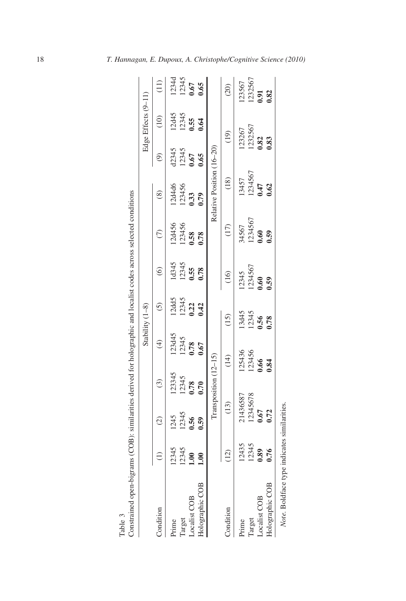| Constrained open-bigrams (COB): similarities derived for holographic and localist codes across selected conditions<br>Table 3 |              |               |                       |                             |                   |                               |                |                           |                |                     |               |
|-------------------------------------------------------------------------------------------------------------------------------|--------------|---------------|-----------------------|-----------------------------|-------------------|-------------------------------|----------------|---------------------------|----------------|---------------------|---------------|
|                                                                                                                               |              |               |                       |                             | Stability $(1-8)$ |                               |                |                           |                | Edge Effects (9-11) |               |
| Condition                                                                                                                     |              | $\widehat{c}$ | $\odot$               | $\bigoplus$                 | $\odot$           | $\odot$                       | $\widehat{C}$  | $\circledS$               | $\circledcirc$ | (10)                |               |
| Prime                                                                                                                         | 12345        | 1245          |                       | 123d45                      | 12dd5             | Id345                         | 12d456         | 12d4d6                    | 12345          | 12d45               | 1234d         |
| Target                                                                                                                        | 12345        | 12345         | 123345<br>12345       |                             | 12345             |                               | 123456<br>0.58 | 123456                    | 12345          |                     |               |
| <b>Localist COB</b>                                                                                                           | 00.1         | 0.56          | $\frac{0.78}{0.70}$   | $\frac{12345}{0.78}$        | 0.22              | $\frac{12345}{0.55}$<br>0.55  |                | 0.33                      | 0.67           | $12345$<br>0.55     | 12345<br>0.67 |
| Holographic COB                                                                                                               | 00.1         | 0.59          |                       |                             | 0.42              |                               | 0.78           | 0.79                      | 0.65           | 0.64                | 0.65          |
|                                                                                                                               |              |               | Transposition (12-15) |                             |                   |                               |                | Relative Position (16-20) |                |                     |               |
| Condition                                                                                                                     | (12)         | (13)          |                       | $\left(\frac{4}{14}\right)$ | (15)              | $\left( \frac{16}{1} \right)$ | (IT)           | (18)                      |                | (19)                | (20)          |
| Prime                                                                                                                         | 1243         | 21436587      |                       | 125436                      | 13d45             | 12345                         | 34567          | 13457                     |                | 123267              | 123567        |
| Target                                                                                                                        | 1234         | 12345678      |                       | 123456                      | 12345             | 1234567                       | 1234567        | 1234567                   |                | 1232567             | 1232567       |
| Holographic COB<br>ocalist COB                                                                                                | 0.89<br>0.76 | 0.67<br>0.72  |                       | 0.66<br>0.84                | 0.56<br>0.78      | $0.60$<br>0.59                | 0.60<br>0.59   | 0.47<br>0.62              | 0.82<br>0.83   |                     | 0.82<br>0.91  |
| Note. Boldface type indicates similarities.                                                                                   |              |               |                       |                             |                   |                               |                |                           |                |                     |               |

18 T. Hannagan, E. Dupoux, A. Christophe/Cognitive Science (2010)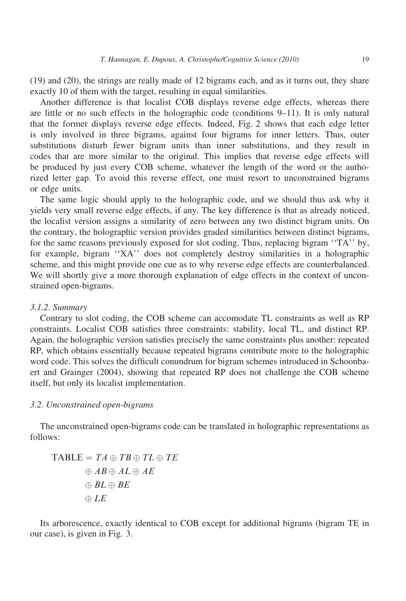(19) and (20), the strings are really made of 12 bigrams each, and as it turns out, they share exactly 10 of them with the target, resulting in equal similarities.

Another difference is that localist COB displays reverse edge effects, whereas there are little or no such effects in the holographic code (conditions 9–11). It is only natural that the former displays reverse edge effects. Indeed, Fig. 2 shows that each edge letter is only involved in three bigrams, against four bigrams for inner letters. Thus, outer substitutions disturb fewer bigram units than inner substitutions, and they result in codes that are more similar to the original. This implies that reverse edge effects will be produced by just every COB scheme, whatever the length of the word or the authorized letter gap. To avoid this reverse effect, one must resort to unconstrained bigrams or edge units.

The same logic should apply to the holographic code, and we should thus ask why it yields very small reverse edge effects, if any. The key difference is that as already noticed, the localist version assigns a similarity of zero between any two distinct bigram units. On the contrary, the holographic version provides graded similarities between distinct bigrams, for the same reasons previously exposed for slot coding. Thus, replacing bigram ''TA'' by, for example, bigram ''XA'' does not completely destroy similarities in a holographic scheme, and this might provide one cue as to why reverse edge effects are counterbalanced. We will shortly give a more thorough explanation of edge effects in the context of unconstrained open-bigrams.

#### 3.1.2. Summary

Contrary to slot coding, the COB scheme can accomodate TL constraints as well as RP constraints. Localist COB satisfies three constraints: stability, local TL, and distinct RP. Again, the holographic version satisfies precisely the same constraints plus another: repeated RP, which obtains essentially because repeated bigrams contribute more to the holographic word code. This solves the difficult conundrum for bigram schemes introduced in Schoonbaert and Grainger (2004), showing that repeated RP does not challenge the COB scheme itself, but only its localist implementation.

#### 3.2. Unconstrained open-bigrams

The unconstrained open-bigrams code can be translated in holographic representations as follows:

$$
\begin{aligned} \text{TABLE} &= TA \oplus TB \oplus TL \oplus TE \\ &\quad \oplus AB \oplus AL \oplus AE \\ &\quad \oplus BL \oplus BE \\ &\quad \oplus LE \end{aligned}
$$

Its arborescence, exactly identical to COB except for additional bigrams (bigram TE in our case), is given in Fig. 3.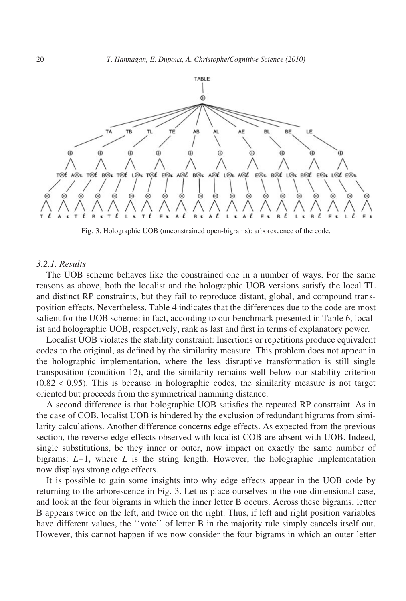

Fig. 3. Holographic UOB (unconstrained open-bigrams): arborescence of the code.

#### 3.2.1. Results

The UOB scheme behaves like the constrained one in a number of ways. For the same reasons as above, both the localist and the holographic UOB versions satisfy the local TL and distinct RP constraints, but they fail to reproduce distant, global, and compound transposition effects. Nevertheless, Table 4 indicates that the differences due to the code are most salient for the UOB scheme: in fact, according to our benchmark presented in Table 6, localist and holographic UOB, respectively, rank as last and first in terms of explanatory power.

Localist UOB violates the stability constraint: Insertions or repetitions produce equivalent codes to the original, as defined by the similarity measure. This problem does not appear in the holographic implementation, where the less disruptive transformation is still single transposition (condition 12), and the similarity remains well below our stability criterion  $(0.82 < 0.95)$ . This is because in holographic codes, the similarity measure is not target oriented but proceeds from the symmetrical hamming distance.

A second difference is that holographic UOB satisfies the repeated RP constraint. As in the case of COB, localist UOB is hindered by the exclusion of redundant bigrams from similarity calculations. Another difference concerns edge effects. As expected from the previous section, the reverse edge effects observed with localist COB are absent with UOB. Indeed, single substitutions, be they inner or outer, now impact on exactly the same number of bigrams:  $L-1$ , where L is the string length. However, the holographic implementation now displays strong edge effects.

It is possible to gain some insights into why edge effects appear in the UOB code by returning to the arborescence in Fig. 3. Let us place ourselves in the one-dimensional case, and look at the four bigrams in which the inner letter B occurs. Across these bigrams, letter B appears twice on the left, and twice on the right. Thus, if left and right position variables have different values, the ''vote'' of letter B in the majority rule simply cancels itself out. However, this cannot happen if we now consider the four bigrams in which an outer letter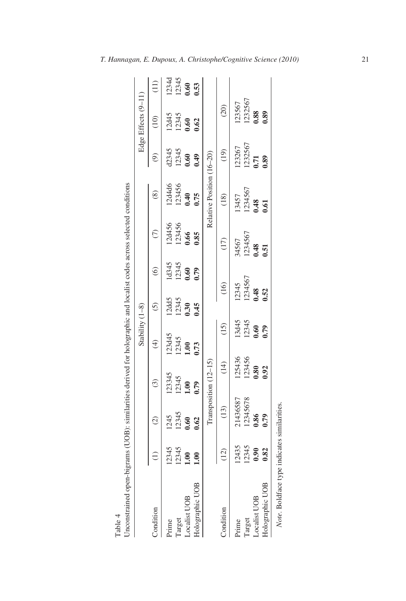| Transposition (12-15)<br>123345<br>12345<br>$\odot$<br>1.00<br>0.79<br>12345<br>1245<br>0.60<br>0.62<br>$\odot$<br>Ù<br>12345<br>(12)<br>1234<br>$\mathbf{0}$<br>$\mathbf{S}$<br>Holographic UOB<br>Localist UOB<br>Condition<br>Condition<br>Target<br>Prime |                |                         |                                  |         |                           |                   |                     |                                             |
|---------------------------------------------------------------------------------------------------------------------------------------------------------------------------------------------------------------------------------------------------------------|----------------|-------------------------|----------------------------------|---------|---------------------------|-------------------|---------------------|---------------------------------------------|
|                                                                                                                                                                                                                                                               |                | Stability $(1-8)$       |                                  |         |                           |                   | Edge Effects (9-11) |                                             |
|                                                                                                                                                                                                                                                               |                | $\widehat{\mathcal{F}}$ | $\widehat{\circ}$<br>$\tilde{S}$ | $\circ$ | $\circledS$               | $\widehat{\odot}$ | (10)                | $\left(\begin{matrix}11\end{matrix}\right)$ |
|                                                                                                                                                                                                                                                               |                | 123d45                  | Id345<br>12d <sub>d</sub>        | 12d456  | 12d4d6                    | 12345             | 12d45               | 1234d                                       |
|                                                                                                                                                                                                                                                               |                | 12345<br><b>1.00</b>    | 12345                            | 123456  | 123456<br>0.40            |                   | 12345               | 12345                                       |
|                                                                                                                                                                                                                                                               |                |                         | 0.60<br>$12345$<br>0.30          | 0.66    |                           | 12345<br>0.60     | 0.60                | 0.60                                        |
|                                                                                                                                                                                                                                                               |                | 0.73                    | 0.79<br>0.45                     | 0.85    | 0.75                      | 0.49              | 0.62                |                                             |
|                                                                                                                                                                                                                                                               |                |                         |                                  |         | Relative Position (16-20) |                   |                     |                                             |
|                                                                                                                                                                                                                                                               | (14)<br>$(13)$ | $\left(15\right)$       | $\left( \frac{16}{2} \right)$    | (IT)    | (18)                      | (19)              | $\widehat{c}$       |                                             |
| 21436587<br>12435<br>Prime                                                                                                                                                                                                                                    | 125436         | 13d45                   | 12345                            | 34567   | 13457                     | 123267            | 123567              |                                             |
| 12345678<br>12345<br>Target                                                                                                                                                                                                                                   | 123456         | 12345                   | 1234567                          | 1234567 | 1234567                   | 1232567           | 1232567             |                                             |
| 0.80<br>0.86<br>$\ddot{\text{o}}$<br>Localist UOB                                                                                                                                                                                                             |                | $0.60$<br>0.79          | 0.48                             | 0.48    | $0.48$<br>0.61            | 0.71              | 0.88                |                                             |
| 0.92<br>0.79<br>$\frac{8}{1}$<br>Holographic UOB                                                                                                                                                                                                              |                |                         | 0.52                             | 0.51    |                           | 0.89              | 0.89                |                                             |

T. Hannagan, E. Dupoux, A. Christophe/Cognitive Science (2010) 21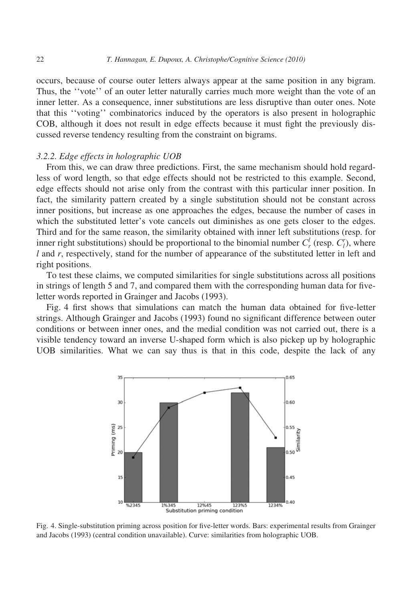occurs, because of course outer letters always appear at the same position in any bigram. Thus, the ''vote'' of an outer letter naturally carries much more weight than the vote of an inner letter. As a consequence, inner substitutions are less disruptive than outer ones. Note that this ''voting'' combinatorics induced by the operators is also present in holographic COB, although it does not result in edge effects because it must fight the previously discussed reverse tendency resulting from the constraint on bigrams.

#### 3.2.2. Edge effects in holographic UOB

From this, we can draw three predictions. First, the same mechanism should hold regardless of word length, so that edge effects should not be restricted to this example. Second, edge effects should not arise only from the contrast with this particular inner position. In fact, the similarity pattern created by a single substitution should not be constant across inner positions, but increase as one approaches the edges, because the number of cases in which the substituted letter's vote cancels out diminishes as one gets closer to the edges. Third and for the same reason, the similarity obtained with inner left substitutions (resp. for inner right substitutions) should be proportional to the binomial number  $C_r^l$  (resp.  $C_l^r$ ), where l and r, respectively, stand for the number of appearance of the substituted letter in left and right positions.

To test these claims, we computed similarities for single substitutions across all positions in strings of length 5 and 7, and compared them with the corresponding human data for fiveletter words reported in Grainger and Jacobs (1993).

Fig. 4 first shows that simulations can match the human data obtained for five-letter strings. Although Grainger and Jacobs (1993) found no significant difference between outer conditions or between inner ones, and the medial condition was not carried out, there is a visible tendency toward an inverse U-shaped form which is also pickep up by holographic UOB similarities. What we can say thus is that in this code, despite the lack of any



Fig. 4. Single-substitution priming across position for five-letter words. Bars: experimental results from Grainger and Jacobs (1993) (central condition unavailable). Curve: similarities from holographic UOB.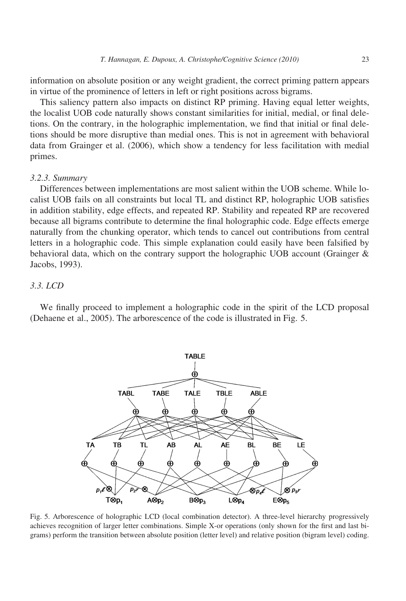information on absolute position or any weight gradient, the correct priming pattern appears in virtue of the prominence of letters in left or right positions across bigrams.

This saliency pattern also impacts on distinct RP priming. Having equal letter weights, the localist UOB code naturally shows constant similarities for initial, medial, or final deletions. On the contrary, in the holographic implementation, we find that initial or final deletions should be more disruptive than medial ones. This is not in agreement with behavioral data from Grainger et al. (2006), which show a tendency for less facilitation with medial primes.

#### 3.2.3. Summary

Differences between implementations are most salient within the UOB scheme. While localist UOB fails on all constraints but local TL and distinct RP, holographic UOB satisfies in addition stability, edge effects, and repeated RP. Stability and repeated RP are recovered because all bigrams contribute to determine the final holographic code. Edge effects emerge naturally from the chunking operator, which tends to cancel out contributions from central letters in a holographic code. This simple explanation could easily have been falsified by behavioral data, which on the contrary support the holographic UOB account (Grainger & Jacobs, 1993).

#### 3.3. LCD

We finally proceed to implement a holographic code in the spirit of the LCD proposal (Dehaene et al., 2005). The arborescence of the code is illustrated in Fig. 5.



Fig. 5. Arborescence of holographic LCD (local combination detector). A three-level hierarchy progressively achieves recognition of larger letter combinations. Simple X-or operations (only shown for the first and last bigrams) perform the transition between absolute position (letter level) and relative position (bigram level) coding.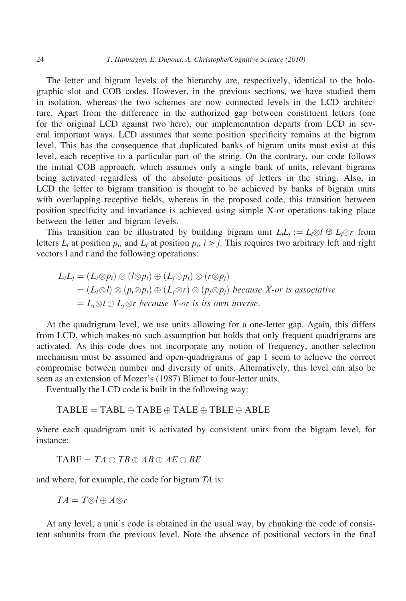The letter and bigram levels of the hierarchy are, respectively, identical to the holographic slot and COB codes. However, in the previous sections, we have studied them in isolation, whereas the two schemes are now connected levels in the LCD architecture. Apart from the difference in the authorized gap between constituent letters (one for the original LCD against two here), our implementation departs from LCD in several important ways. LCD assumes that some position specificity remains at the bigram level. This has the consequence that duplicated banks of bigram units must exist at this level, each receptive to a particular part of the string. On the contrary, our code follows the initial COB approach, which assumes only a single bank of units, relevant bigrams being activated regardless of the absolute positions of letters in the string. Also, in LCD the letter to bigram transition is thought to be achieved by banks of bigram units with overlapping receptive fields, whereas in the proposed code, this transition between position specificity and invariance is achieved using simple X-or operations taking place between the letter and bigram levels.

This transition can be illustrated by building bigram unit  $L_i L_j := L_i \otimes l \oplus L_i \otimes r$  from letters  $L_i$  at position  $p_i$ , and  $L_i$  at position  $p_i$ ,  $i > j$ . This requires two arbitrary left and right vectors l and r and the following operations:

$$
L_iL_j = (L_i \otimes p_i) \otimes (l \otimes p_i) \oplus (L_j \otimes p_j) \otimes (r \otimes p_j)
$$
  
=  $(L_i \otimes l) \otimes (p_i \otimes p_i) \oplus (L_j \otimes r) \otimes (p_j \otimes p_j)$  because X-or is associative  
=  $L_i \otimes l \oplus L_j \otimes r$  because X-or is its own inverse.

At the quadrigram level, we use units allowing for a one-letter gap. Again, this differs from LCD, which makes no such assumption but holds that only frequent quadrigrams are activated. As this code does not incorporate any notion of frequency, another selection mechanism must be assumed and open-quadrigrams of gap 1 seem to achieve the correct compromise between number and diversity of units. Alternatively, this level can also be seen as an extension of Mozer's (1987) Blirnet to four-letter units.

Eventually the LCD code is built in the following way:

$$
TABLE = TABLE \oplus TABLE \oplus TABLE \oplusABLE
$$

where each quadrigram unit is activated by consistent units from the bigram level, for instance:

$$
TABLE = TA \oplus TB \oplus AB \oplus AE \oplus BE
$$

and where, for example, the code for bigram TA is:

$$
TA = T \otimes l \oplus A \otimes r
$$

At any level, a unit's code is obtained in the usual way, by chunking the code of consistent subunits from the previous level. Note the absence of positional vectors in the final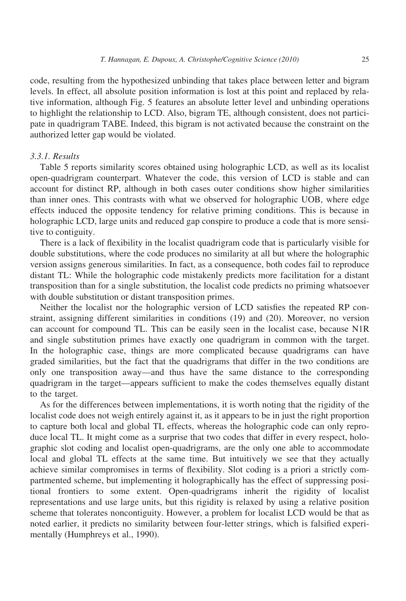code, resulting from the hypothesized unbinding that takes place between letter and bigram levels. In effect, all absolute position information is lost at this point and replaced by relative information, although Fig. 5 features an absolute letter level and unbinding operations to highlight the relationship to LCD. Also, bigram TE, although consistent, does not participate in quadrigram TABE. Indeed, this bigram is not activated because the constraint on the authorized letter gap would be violated.

# 3.3.1. Results

Table 5 reports similarity scores obtained using holographic LCD, as well as its localist open-quadrigram counterpart. Whatever the code, this version of LCD is stable and can account for distinct RP, although in both cases outer conditions show higher similarities than inner ones. This contrasts with what we observed for holographic UOB, where edge effects induced the opposite tendency for relative priming conditions. This is because in holographic LCD, large units and reduced gap conspire to produce a code that is more sensitive to contiguity.

There is a lack of flexibility in the localist quadrigram code that is particularly visible for double substitutions, where the code produces no similarity at all but where the holographic version assigns generous similarities. In fact, as a consequence, both codes fail to reproduce distant TL: While the holographic code mistakenly predicts more facilitation for a distant transposition than for a single substitution, the localist code predicts no priming whatsoever with double substitution or distant transposition primes.

Neither the localist nor the holographic version of LCD satisfies the repeated RP constraint, assigning different similarities in conditions (19) and (20). Moreover, no version can account for compound TL. This can be easily seen in the localist case, because N1R and single substitution primes have exactly one quadrigram in common with the target. In the holographic case, things are more complicated because quadrigrams can have graded similarities, but the fact that the quadrigrams that differ in the two conditions are only one transposition away—and thus have the same distance to the corresponding quadrigram in the target—appears sufficient to make the codes themselves equally distant to the target.

As for the differences between implementations, it is worth noting that the rigidity of the localist code does not weigh entirely against it, as it appears to be in just the right proportion to capture both local and global TL effects, whereas the holographic code can only reproduce local TL. It might come as a surprise that two codes that differ in every respect, holographic slot coding and localist open-quadrigrams, are the only one able to accommodate local and global TL effects at the same time. But intuitively we see that they actually achieve similar compromises in terms of flexibility. Slot coding is a priori a strictly compartmented scheme, but implementing it holographically has the effect of suppressing positional frontiers to some extent. Open-quadrigrams inherit the rigidity of localist representations and use large units, but this rigidity is relaxed by using a relative position scheme that tolerates noncontiguity. However, a problem for localist LCD would be that as noted earlier, it predicts no similarity between four-letter strings, which is falsified experimentally (Humphreys et al., 1990).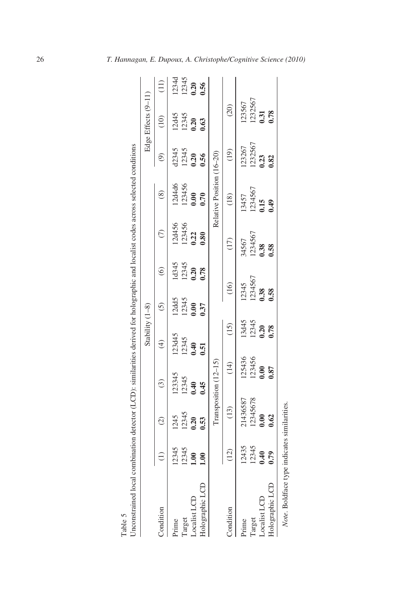|                                |                |                    |                       | Stability (1-8) |               |                     |                 |                           |                    | Edge Effects (9-11) |                      |
|--------------------------------|----------------|--------------------|-----------------------|-----------------|---------------|---------------------|-----------------|---------------------------|--------------------|---------------------|----------------------|
| Condition                      |                | $\widehat{\infty}$ | $\odot$               | $\bigoplus$     | $\widehat{5}$ | $\widehat{\circ}$   | $\widehat{\in}$ | $\circledS$               | $\widehat{\Theta}$ | (10)                | Ξ,                   |
| Prime                          | 12345          | 1245               | 123345                | 123d45          | 12dd5         | Id345               | 12d456          | 12d4d6                    | 12345              | 12d45               | 1234d                |
| Target                         | 12345          | 12345              |                       | 12345           |               | 12345               | 123456          | 123456                    |                    | 12345               |                      |
| ocalist LCD                    | 1.00           | 0.20               | $12345$<br>0.40       | 0.40            | 12345         | $\frac{0.20}{0.78}$ | 0.22            | 0.00                      | $12345$<br>0.20    | 0.20                | $\frac{12345}{0.20}$ |
| Holographic LCD                | 1.00           | 0.53               | 0.45                  | 0.51            | 0.37          |                     | 0.80            | 0.70                      | 0.56               | 0.63                |                      |
|                                |                |                    | Transposition (12-15) |                 |               |                     |                 | Relative Position (16-20) |                    |                     |                      |
| Condition                      | $\widehat{12}$ | (13)               | $\left(14\right)$     | $\overline{15}$ | (16)          |                     | (IT)            | (18)                      | (19)               | (20)                |                      |
| Prime                          | 1243           | 21436587           | 125436                | 13d45           | 12345         |                     | 34567           | 13457                     | 123267             | 123567              |                      |
| Target                         | 1234:          | 12345678           | 123456                | 12345           | 1234567       |                     | 1234567         |                           | 1232567            | 1232567             |                      |
| Holographic LCD<br>ocalist LCD | 0.40<br>0.79   | 0.62<br>0.00       | 0.00<br>0.87          | 0.20<br>0.78    | 0.38<br>0.58  |                     | 0.38<br>0.58    | 1234567<br>0.15<br>0.49   | 0.23<br>0.82       | 0.31<br>0.78        |                      |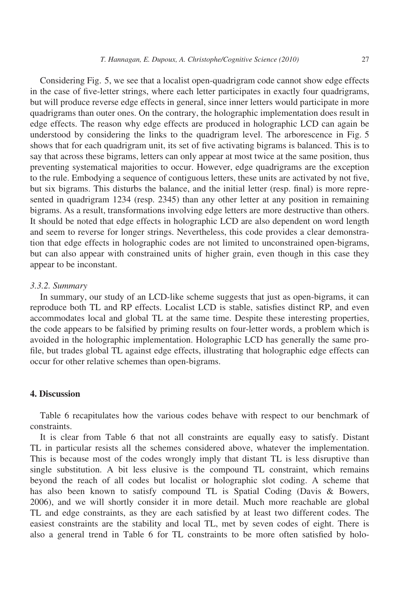Considering Fig. 5, we see that a localist open-quadrigram code cannot show edge effects in the case of five-letter strings, where each letter participates in exactly four quadrigrams, but will produce reverse edge effects in general, since inner letters would participate in more quadrigrams than outer ones. On the contrary, the holographic implementation does result in edge effects. The reason why edge effects are produced in holographic LCD can again be understood by considering the links to the quadrigram level. The arborescence in Fig. 5 shows that for each quadrigram unit, its set of five activating bigrams is balanced. This is to say that across these bigrams, letters can only appear at most twice at the same position, thus preventing systematical majorities to occur. However, edge quadrigrams are the exception to the rule. Embodying a sequence of contiguous letters, these units are activated by not five, but six bigrams. This disturbs the balance, and the initial letter (resp. final) is more represented in quadrigram 1234 (resp. 2345) than any other letter at any position in remaining bigrams. As a result, transformations involving edge letters are more destructive than others. It should be noted that edge effects in holographic LCD are also dependent on word length and seem to reverse for longer strings. Nevertheless, this code provides a clear demonstration that edge effects in holographic codes are not limited to unconstrained open-bigrams, but can also appear with constrained units of higher grain, even though in this case they appear to be inconstant.

#### 3.3.2. Summary

In summary, our study of an LCD-like scheme suggests that just as open-bigrams, it can reproduce both TL and RP effects. Localist LCD is stable, satisfies distinct RP, and even accommodates local and global TL at the same time. Despite these interesting properties, the code appears to be falsified by priming results on four-letter words, a problem which is avoided in the holographic implementation. Holographic LCD has generally the same profile, but trades global TL against edge effects, illustrating that holographic edge effects can occur for other relative schemes than open-bigrams.

# 4. Discussion

Table 6 recapitulates how the various codes behave with respect to our benchmark of constraints.

It is clear from Table 6 that not all constraints are equally easy to satisfy. Distant TL in particular resists all the schemes considered above, whatever the implementation. This is because most of the codes wrongly imply that distant TL is less disruptive than single substitution. A bit less elusive is the compound TL constraint, which remains beyond the reach of all codes but localist or holographic slot coding. A scheme that has also been known to satisfy compound TL is Spatial Coding (Davis & Bowers, 2006), and we will shortly consider it in more detail. Much more reachable are global TL and edge constraints, as they are each satisfied by at least two different codes. The easiest constraints are the stability and local TL, met by seven codes of eight. There is also a general trend in Table 6 for TL constraints to be more often satisfied by holo-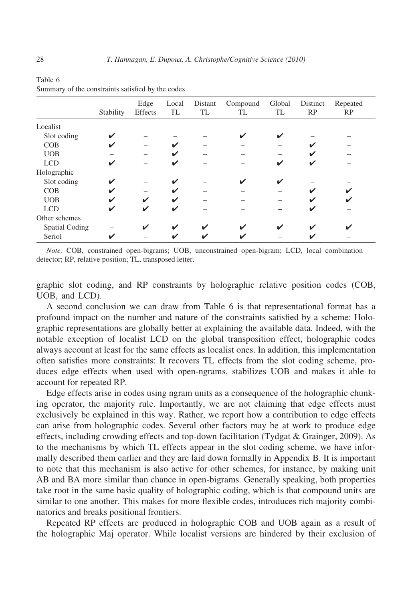|                       | Stability | Edge<br>Effects | Local<br>TL | Distant<br>TL | Compound<br>TL | Global<br>TL | Distinct<br>RP | Repeated<br>RP   |
|-----------------------|-----------|-----------------|-------------|---------------|----------------|--------------|----------------|------------------|
| Localist              |           |                 |             |               |                |              |                |                  |
| Slot coding           | V         |                 |             |               |                |              |                |                  |
| COB                   | V         |                 | ✔           |               |                |              | V              |                  |
| <b>UOB</b>            |           |                 | ✓           |               |                |              | ✓              |                  |
| <b>LCD</b>            | ✓         |                 | ✔           |               |                | ✔            | ✓              |                  |
| Holographic           |           |                 |             |               |                |              |                |                  |
| Slot coding           | ✔         |                 | ✔           |               |                | ✔            |                |                  |
| COB                   | ✓         |                 | ✔           |               |                |              | ✓              | $\overline{\nu}$ |
| <b>UOB</b>            | ✓         | ✓               | ✓           |               |                |              | ✓              | ✓                |
| <b>LCD</b>            | V         | ✓               | ✓           |               |                |              | ✓              |                  |
| Other schemes         |           |                 |             |               |                |              |                |                  |
| <b>Spatial Coding</b> |           |                 | ✔           | ✔             |                |              |                |                  |
| Seriol                |           |                 |             |               |                |              |                |                  |

Table 6 Summary of the constraints satisfied by the codes

Note. COB, constrained open-bigrams; UOB, unconstrained open-bigram; LCD, local combination detector; RP, relative position; TL, transposed letter.

graphic slot coding, and RP constraints by holographic relative position codes (COB, UOB, and LCD).

A second conclusion we can draw from Table 6 is that representational format has a profound impact on the number and nature of the constraints satisfied by a scheme: Holographic representations are globally better at explaining the available data. Indeed, with the notable exception of localist LCD on the global transposition effect, holographic codes always account at least for the same effects as localist ones. In addition, this implementation often satisfies more constraints: It recovers TL effects from the slot coding scheme, produces edge effects when used with open-ngrams, stabilizes UOB and makes it able to account for repeated RP.

Edge effects arise in codes using ngram units as a consequence of the holographic chunking operator, the majority rule. Importantly, we are not claiming that edge effects must exclusively be explained in this way. Rather, we report how a contribution to edge effects can arise from holographic codes. Several other factors may be at work to produce edge effects, including crowding effects and top-down facilitation (Tydgat & Grainger, 2009). As to the mechanisms by which TL effects appear in the slot coding scheme, we have informally described them earlier and they are laid down formally in Appendix B. It is important to note that this mechanism is also active for other schemes, for instance, by making unit AB and BA more similar than chance in open-bigrams. Generally speaking, both properties take root in the same basic quality of holographic coding, which is that compound units are similar to one another. This makes for more flexible codes, introduces rich majority combinatorics and breaks positional frontiers.

Repeated RP effects are produced in holographic COB and UOB again as a result of the holographic Maj operator. While localist versions are hindered by their exclusion of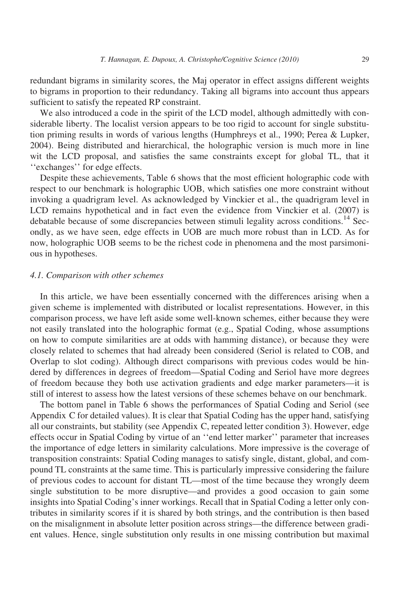redundant bigrams in similarity scores, the Maj operator in effect assigns different weights to bigrams in proportion to their redundancy. Taking all bigrams into account thus appears sufficient to satisfy the repeated RP constraint.

We also introduced a code in the spirit of the LCD model, although admittedly with considerable liberty. The localist version appears to be too rigid to account for single substitution priming results in words of various lengths (Humphreys et al., 1990; Perea & Lupker, 2004). Being distributed and hierarchical, the holographic version is much more in line wit the LCD proposal, and satisfies the same constraints except for global TL, that it ''exchanges'' for edge effects.

Despite these achievements, Table 6 shows that the most efficient holographic code with respect to our benchmark is holographic UOB, which satisfies one more constraint without invoking a quadrigram level. As acknowledged by Vinckier et al., the quadrigram level in LCD remains hypothetical and in fact even the evidence from Vinckier et al. (2007) is debatable because of some discrepancies between stimuli legality across conditions.<sup>14</sup> Secondly, as we have seen, edge effects in UOB are much more robust than in LCD. As for now, holographic UOB seems to be the richest code in phenomena and the most parsimonious in hypotheses.

# 4.1. Comparison with other schemes

In this article, we have been essentially concerned with the differences arising when a given scheme is implemented with distributed or localist representations. However, in this comparison process, we have left aside some well-known schemes, either because they were not easily translated into the holographic format (e.g., Spatial Coding, whose assumptions on how to compute similarities are at odds with hamming distance), or because they were closely related to schemes that had already been considered (Seriol is related to COB, and Overlap to slot coding). Although direct comparisons with previous codes would be hindered by differences in degrees of freedom—Spatial Coding and Seriol have more degrees of freedom because they both use activation gradients and edge marker parameters—it is still of interest to assess how the latest versions of these schemes behave on our benchmark.

The bottom panel in Table 6 shows the performances of Spatial Coding and Seriol (see Appendix C for detailed values). It is clear that Spatial Coding has the upper hand, satisfying all our constraints, but stability (see Appendix C, repeated letter condition 3). However, edge effects occur in Spatial Coding by virtue of an ''end letter marker'' parameter that increases the importance of edge letters in similarity calculations. More impressive is the coverage of transposition constraints: Spatial Coding manages to satisfy single, distant, global, and compound TL constraints at the same time. This is particularly impressive considering the failure of previous codes to account for distant TL—most of the time because they wrongly deem single substitution to be more disruptive—and provides a good occasion to gain some insights into Spatial Coding's inner workings. Recall that in Spatial Coding a letter only contributes in similarity scores if it is shared by both strings, and the contribution is then based on the misalignment in absolute letter position across strings—the difference between gradient values. Hence, single substitution only results in one missing contribution but maximal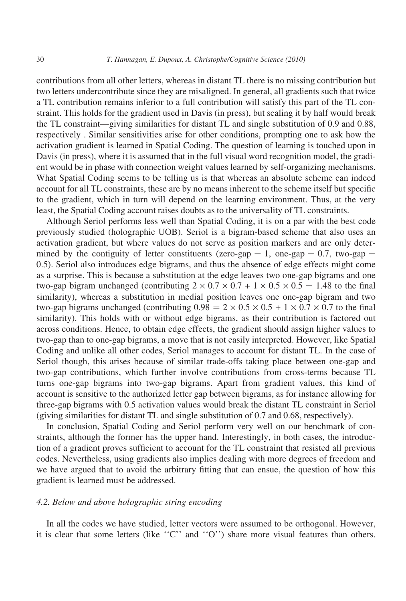contributions from all other letters, whereas in distant TL there is no missing contribution but two letters undercontribute since they are misaligned. In general, all gradients such that twice a TL contribution remains inferior to a full contribution will satisfy this part of the TL constraint. This holds for the gradient used in Davis (in press), but scaling it by half would break the TL constraint—giving similarities for distant TL and single substitution of 0.9 and 0.88, respectively . Similar sensitivities arise for other conditions, prompting one to ask how the activation gradient is learned in Spatial Coding. The question of learning is touched upon in Davis (in press), where it is assumed that in the full visual word recognition model, the gradient would be in phase with connection weight values learned by self-organizing mechanisms. What Spatial Coding seems to be telling us is that whereas an absolute scheme can indeed account for all TL constraints, these are by no means inherent to the scheme itself but specific to the gradient, which in turn will depend on the learning environment. Thus, at the very least, the Spatial Coding account raises doubts as to the universality of TL constraints.

Although Seriol performs less well than Spatial Coding, it is on a par with the best code previously studied (holographic UOB). Seriol is a bigram-based scheme that also uses an activation gradient, but where values do not serve as position markers and are only determined by the contiguity of letter constituents (zero-gap = 1, one-gap = 0.7, two-gap = 0.5). Seriol also introduces edge bigrams, and thus the absence of edge effects might come as a surprise. This is because a substitution at the edge leaves two one-gap bigrams and one two-gap bigram unchanged (contributing  $2 \times 0.7 \times 0.7 + 1 \times 0.5 \times 0.5 = 1.48$  to the final similarity), whereas a substitution in medial position leaves one one-gap bigram and two two-gap bigrams unchanged (contributing  $0.98 = 2 \times 0.5 \times 0.5 + 1 \times 0.7 \times 0.7$  to the final similarity). This holds with or without edge bigrams, as their contribution is factored out across conditions. Hence, to obtain edge effects, the gradient should assign higher values to two-gap than to one-gap bigrams, a move that is not easily interpreted. However, like Spatial Coding and unlike all other codes, Seriol manages to account for distant TL. In the case of Seriol though, this arises because of similar trade-offs taking place between one-gap and two-gap contributions, which further involve contributions from cross-terms because TL turns one-gap bigrams into two-gap bigrams. Apart from gradient values, this kind of account is sensitive to the authorized letter gap between bigrams, as for instance allowing for three-gap bigrams with 0.5 activation values would break the distant TL constraint in Seriol (giving similarities for distant TL and single substitution of 0.7 and 0.68, respectively).

In conclusion, Spatial Coding and Seriol perform very well on our benchmark of constraints, although the former has the upper hand. Interestingly, in both cases, the introduction of a gradient proves sufficient to account for the TL constraint that resisted all previous codes. Nevertheless, using gradients also implies dealing with more degrees of freedom and we have argued that to avoid the arbitrary fitting that can ensue, the question of how this gradient is learned must be addressed.

# 4.2. Below and above holographic string encoding

In all the codes we have studied, letter vectors were assumed to be orthogonal. However, it is clear that some letters (like ''C'' and ''O'') share more visual features than others.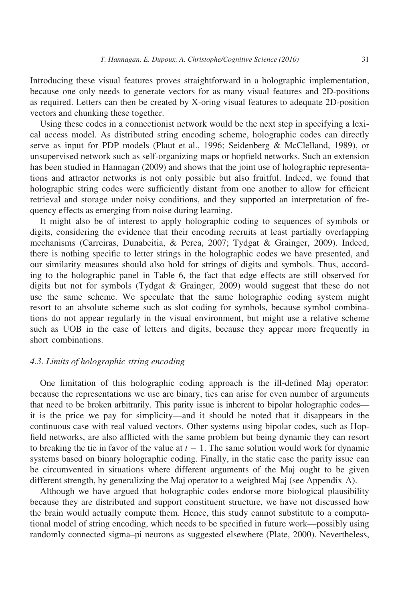Introducing these visual features proves straightforward in a holographic implementation, because one only needs to generate vectors for as many visual features and 2D-positions as required. Letters can then be created by X-oring visual features to adequate 2D-position vectors and chunking these together.

Using these codes in a connectionist network would be the next step in specifying a lexical access model. As distributed string encoding scheme, holographic codes can directly serve as input for PDP models (Plaut et al., 1996; Seidenberg & McClelland, 1989), or unsupervised network such as self-organizing maps or hopfield networks. Such an extension has been studied in Hannagan (2009) and shows that the joint use of holographic representations and attractor networks is not only possible but also fruitful. Indeed, we found that holographic string codes were sufficiently distant from one another to allow for efficient retrieval and storage under noisy conditions, and they supported an interpretation of frequency effects as emerging from noise during learning.

It might also be of interest to apply holographic coding to sequences of symbols or digits, considering the evidence that their encoding recruits at least partially overlapping mechanisms (Carreiras, Dunabeitia, & Perea, 2007; Tydgat & Grainger, 2009). Indeed, there is nothing specific to letter strings in the holographic codes we have presented, and our similarity measures should also hold for strings of digits and symbols. Thus, according to the holographic panel in Table 6, the fact that edge effects are still observed for digits but not for symbols (Tydgat & Grainger, 2009) would suggest that these do not use the same scheme. We speculate that the same holographic coding system might resort to an absolute scheme such as slot coding for symbols, because symbol combinations do not appear regularly in the visual environment, but might use a relative scheme such as UOB in the case of letters and digits, because they appear more frequently in short combinations.

#### 4.3. Limits of holographic string encoding

One limitation of this holographic coding approach is the ill-defined Maj operator: because the representations we use are binary, ties can arise for even number of arguments that need to be broken arbitrarily. This parity issue is inherent to bipolar holographic codes it is the price we pay for simplicity—and it should be noted that it disappears in the continuous case with real valued vectors. Other systems using bipolar codes, such as Hopfield networks, are also afflicted with the same problem but being dynamic they can resort to breaking the tie in favor of the value at  $t - 1$ . The same solution would work for dynamic systems based on binary holographic coding. Finally, in the static case the parity issue can be circumvented in situations where different arguments of the Maj ought to be given different strength, by generalizing the Maj operator to a weighted Maj (see Appendix A).

Although we have argued that holographic codes endorse more biological plausibility because they are distributed and support constituent structure, we have not discussed how the brain would actually compute them. Hence, this study cannot substitute to a computational model of string encoding, which needs to be specified in future work—possibly using randomly connected sigma–pi neurons as suggested elsewhere (Plate, 2000). Nevertheless,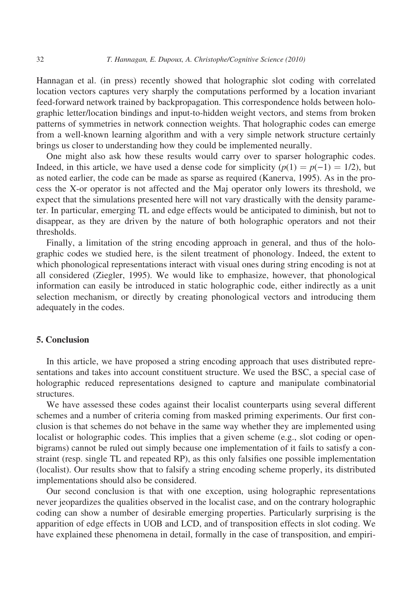Hannagan et al. (in press) recently showed that holographic slot coding with correlated location vectors captures very sharply the computations performed by a location invariant feed-forward network trained by backpropagation. This correspondence holds between holographic letter/location bindings and input-to-hidden weight vectors, and stems from broken patterns of symmetries in network connection weights. That holographic codes can emerge from a well-known learning algorithm and with a very simple network structure certainly brings us closer to understanding how they could be implemented neurally.

One might also ask how these results would carry over to sparser holographic codes. Indeed, in this article, we have used a dense code for simplicity  $(p(1) = p(-1) = 1/2)$ , but as noted earlier, the code can be made as sparse as required (Kanerva, 1995). As in the process the X-or operator is not affected and the Maj operator only lowers its threshold, we expect that the simulations presented here will not vary drastically with the density parameter. In particular, emerging TL and edge effects would be anticipated to diminish, but not to disappear, as they are driven by the nature of both holographic operators and not their thresholds.

Finally, a limitation of the string encoding approach in general, and thus of the holographic codes we studied here, is the silent treatment of phonology. Indeed, the extent to which phonological representations interact with visual ones during string encoding is not at all considered (Ziegler, 1995). We would like to emphasize, however, that phonological information can easily be introduced in static holographic code, either indirectly as a unit selection mechanism, or directly by creating phonological vectors and introducing them adequately in the codes.

# 5. Conclusion

In this article, we have proposed a string encoding approach that uses distributed representations and takes into account constituent structure. We used the BSC, a special case of holographic reduced representations designed to capture and manipulate combinatorial structures.

We have assessed these codes against their localist counterparts using several different schemes and a number of criteria coming from masked priming experiments. Our first conclusion is that schemes do not behave in the same way whether they are implemented using localist or holographic codes. This implies that a given scheme (e.g., slot coding or openbigrams) cannot be ruled out simply because one implementation of it fails to satisfy a constraint (resp. single TL and repeated RP), as this only falsifies one possible implementation (localist). Our results show that to falsify a string encoding scheme properly, its distributed implementations should also be considered.

Our second conclusion is that with one exception, using holographic representations never jeopardizes the qualities observed in the localist case, and on the contrary holographic coding can show a number of desirable emerging properties. Particularly surprising is the apparition of edge effects in UOB and LCD, and of transposition effects in slot coding. We have explained these phenomena in detail, formally in the case of transposition, and empiri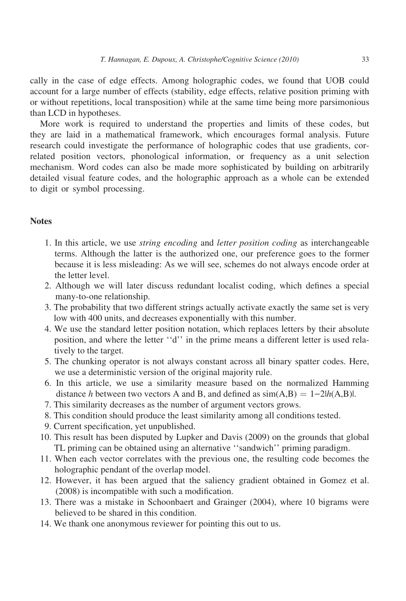cally in the case of edge effects. Among holographic codes, we found that UOB could account for a large number of effects (stability, edge effects, relative position priming with or without repetitions, local transposition) while at the same time being more parsimonious than LCD in hypotheses.

More work is required to understand the properties and limits of these codes, but they are laid in a mathematical framework, which encourages formal analysis. Future research could investigate the performance of holographic codes that use gradients, correlated position vectors, phonological information, or frequency as a unit selection mechanism. Word codes can also be made more sophisticated by building on arbitrarily detailed visual feature codes, and the holographic approach as a whole can be extended to digit or symbol processing.

# **Notes**

- 1. In this article, we use string encoding and letter position coding as interchangeable terms. Although the latter is the authorized one, our preference goes to the former because it is less misleading: As we will see, schemes do not always encode order at the letter level.
- 2. Although we will later discuss redundant localist coding, which defines a special many-to-one relationship.
- 3. The probability that two different strings actually activate exactly the same set is very low with 400 units, and decreases exponentially with this number.
- 4. We use the standard letter position notation, which replaces letters by their absolute position, and where the letter ''d'' in the prime means a different letter is used relatively to the target.
- 5. The chunking operator is not always constant across all binary spatter codes. Here, we use a deterministic version of the original majority rule.
- 6. In this article, we use a similarity measure based on the normalized Hamming distance h between two vectors A and B, and defined as  $\text{sim}(A,B) = 1-2|h(A,B)|$ .
- 7. This similarity decreases as the number of argument vectors grows.
- 8. This condition should produce the least similarity among all conditions tested.
- 9. Current specification, yet unpublished.
- 10. This result has been disputed by Lupker and Davis (2009) on the grounds that global TL priming can be obtained using an alternative ''sandwich'' priming paradigm.
- 11. When each vector correlates with the previous one, the resulting code becomes the holographic pendant of the overlap model.
- 12. However, it has been argued that the saliency gradient obtained in Gomez et al. (2008) is incompatible with such a modification.
- 13. There was a mistake in Schoonbaert and Grainger (2004), where 10 bigrams were believed to be shared in this condition.
- 14. We thank one anonymous reviewer for pointing this out to us.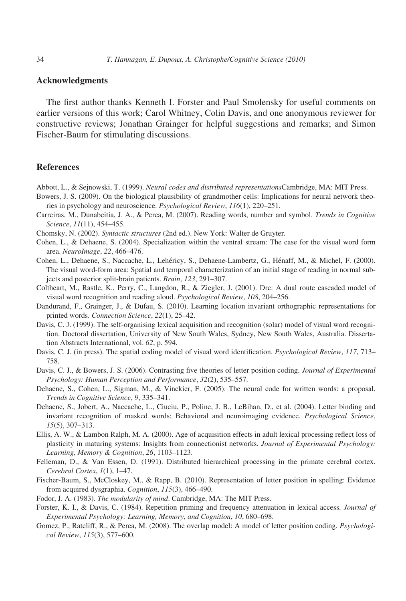#### Acknowledgments

The first author thanks Kenneth I. Forster and Paul Smolensky for useful comments on earlier versions of this work; Carol Whitney, Colin Davis, and one anonymous reviewer for constructive reviews; Jonathan Grainger for helpful suggestions and remarks; and Simon Fischer-Baum for stimulating discussions.

# References

- Abbott, L., & Sejnowski, T. (1999). Neural codes and distributed representationsCambridge, MA: MIT Press.
- Bowers, J. S. (2009). On the biological plausibility of grandmother cells: Implications for neural network theories in psychology and neuroscience. Psychological Review, 116(1), 220–251.
- Carreiras, M., Dunabeitia, J. A., & Perea, M. (2007). Reading words, number and symbol. Trends in Cognitive Science, 11(11), 454-455.
- Chomsky, N. (2002). Syntactic structures (2nd ed.). New York: Walter de Gruyter.
- Cohen, L., & Dehaene, S. (2004). Specialization within the ventral stream: The case for the visual word form area. NeuroImage, 22, 466–476.
- Cohen, L., Dehaene, S., Naccache, L., Lehéricy, S., Dehaene-Lambertz, G., Hénaff, M., & Michel, F. (2000). The visual word-form area: Spatial and temporal characterization of an initial stage of reading in normal subjects and posterior split-brain patients. Brain, 123, 291–307.
- Coltheart, M., Rastle, K., Perry, C., Langdon, R., & Ziegler, J. (2001). Drc: A dual route cascaded model of visual word recognition and reading aloud. Psychological Review, 108, 204–256.
- Dandurand, F., Grainger, J., & Dufau, S. (2010). Learning location invariant orthographic representations for printed words. Connection Science, 22(1), 25–42.
- Davis, C. J. (1999). The self-organising lexical acquisition and recognition (solar) model of visual word recognition. Doctoral dissertation, University of New South Wales, Sydney, New South Wales, Australia. Dissertation Abstracts International, vol. 62, p. 594.
- Davis, C. J. (in press). The spatial coding model of visual word identification. *Psychological Review, 117*, 713– 758.
- Davis, C. J., & Bowers, J. S. (2006). Contrasting five theories of letter position coding. Journal of Experimental Psychology: Human Perception and Performance, 32(2), 535–557.
- Dehaene, S., Cohen, L., Sigman, M., & Vinckier, F. (2005). The neural code for written words: a proposal. Trends in Cognitive Science, 9, 335–341.
- Dehaene, S., Jobert, A., Naccache, L., Ciuciu, P., Poline, J. B., LeBihan, D., et al. (2004). Letter binding and invariant recognition of masked words: Behavioral and neuroimaging evidence. Psychological Science, 15(5), 307–313.
- Ellis, A. W., & Lambon Ralph, M. A. (2000). Age of acquisition effects in adult lexical processing reflect loss of plasticity in maturing systems: Insights from connectionist networks. Journal of Experimental Psychology: Learning, Memory & Cognition, 26, 1103–1123.
- Felleman, D., & Van Essen, D. (1991). Distributed hierarchical processing in the primate cerebral cortex. Cerebral Cortex, 1(1), 1–47.
- Fischer-Baum, S., McCloskey, M., & Rapp, B. (2010). Representation of letter position in spelling: Evidence from acquired dysgraphia. Cognition, 115(3), 466-490.
- Fodor, J. A. (1983). The modularity of mind. Cambridge, MA: The MIT Press.
- Forster, K. I., & Davis, C. (1984). Repetition priming and frequency attenuation in lexical access. Journal of Experimental Psychology: Learning, Memory, and Cognition, 10, 680–698.
- Gomez, P., Ratcliff, R., & Perea, M. (2008). The overlap model: A model of letter position coding. *Psychologi*cal Review, 115(3), 577–600.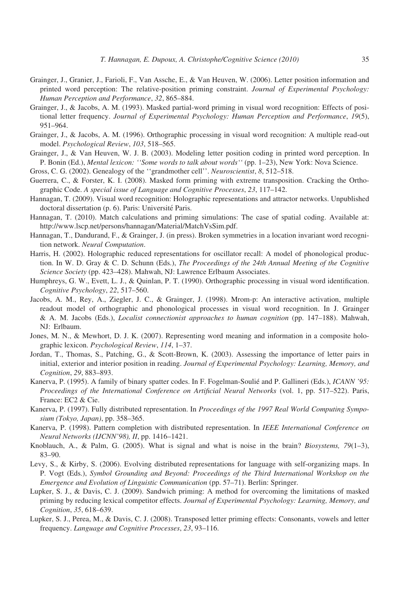- Grainger, J., Granier, J., Farioli, F., Van Assche, E., & Van Heuven, W. (2006). Letter position information and printed word perception: The relative-position priming constraint. Journal of Experimental Psychology: Human Perception and Performance, 32, 865–884.
- Grainger, J., & Jacobs, A. M. (1993). Masked partial-word priming in visual word recognition: Effects of positional letter frequency. Journal of Experimental Psychology: Human Perception and Performance, 19(5), 951–964.
- Grainger, J., & Jacobs, A. M. (1996). Orthographic processing in visual word recognition: A multiple read-out model. Psychological Review, 103, 518–565.
- Grainger, J., & Van Heuven, W. J. B. (2003). Modeling letter position coding in printed word perception. In P. Bonin (Ed.), Mental lexicon: ''Some words to talk about words'' (pp. 1–23), New York: Nova Science.

Gross, C. G. (2002). Genealogy of the ''grandmother cell''. Neuroscientist, 8, 512–518.

- Guerrera, C., & Forster, K. I. (2008). Masked form priming with extreme transposition. Cracking the Orthographic Code. A special issue of Language and Cognitive Processes, 23, 117–142.
- Hannagan, T. (2009). Visual word recognition: Holographic representations and attractor networks. Unpublished doctoral dissertation (p. 6). Paris: Université Paris.
- Hannagan, T. (2010). Match calculations and priming simulations: The case of spatial coding. Available at: http://www.lscp.net/persons/hannagan/Material/MatchVsSim.pdf.
- Hannagan, T., Dandurand, F., & Grainger, J. (in press). Broken symmetries in a location invariant word recognition network. Neural Computation.
- Harris, H. (2002). Holographic reduced representations for oscillator recall: A model of phonological production. In W. D. Gray & C. D. Schunn (Eds.), The Proceedings of the 24th Annual Meeting of the Cognitive Science Society (pp. 423–428). Mahwah, NJ: Lawrence Erlbaum Associates.
- Humphreys, G. W., Evett, L. J., & Quinlan, P. T. (1990). Orthographic processing in visual word identification. Cognitive Psychology, 22, 517–560.
- Jacobs, A. M., Rey, A., Ziegler, J. C., & Grainger, J. (1998). Mrom-p: An interactive activation, multiple readout model of orthographic and phonological processes in visual word recognition. In J. Grainger & A. M. Jacobs (Eds.), Localist connectionist approaches to human cognition (pp. 147–188). Mahwah, NJ: Erlbaum.
- Jones, M. N., & Mewhort, D. J. K. (2007). Representing word meaning and information in a composite holographic lexicon. Psychological Review, 114, 1–37.
- Jordan, T., Thomas, S., Patching, G., & Scott-Brown, K. (2003). Assessing the importance of letter pairs in initial, exterior and interior position in reading. Journal of Experimental Psychology: Learning, Memory, and Cognition, 29, 883–893.
- Kanerva, P. (1995). A family of binary spatter codes. In F. Fogelman-Soulié and P. Gallineri (Eds.), ICANN '95: Proceedings of the International Conference on Artificial Neural Networks (vol. 1, pp. 517–522). Paris, France: EC2 & Cie.
- Kanerva, P. (1997). Fully distributed representation. In Proceedings of the 1997 Real World Computing Symposium (Tokyo, Japan), pp.  $358-365$ .
- Kanerva, P. (1998). Pattern completion with distributed representation. In IEEE International Conference on Neural Networks (IJCNN'98), II, pp. 1416–1421.
- Knoblauch, A., & Palm, G. (2005). What is signal and what is noise in the brain? Biosystems, 79(1–3), 83–90.
- Levy, S., & Kirby, S. (2006). Evolving distributed representations for language with self-organizing maps. In P. Vogt (Eds.), Symbol Grounding and Beyond: Proceedings of the Third International Workshop on the Emergence and Evolution of Linguistic Communication (pp. 57–71). Berlin: Springer.
- Lupker, S. J., & Davis, C. J. (2009). Sandwich priming: A method for overcoming the limitations of masked priming by reducing lexical competitor effects. Journal of Experimental Psychology: Learning, Memory, and Cognition, 35, 618–639.
- Lupker, S. J., Perea, M., & Davis, C. J. (2008). Transposed letter priming effects: Consonants, vowels and letter frequency. Language and Cognitive Processes, 23, 93–116.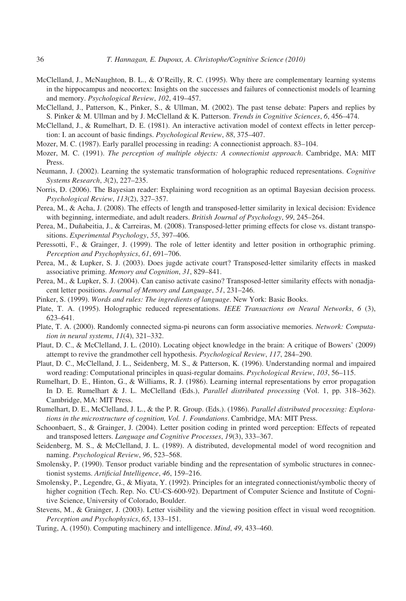- McClelland, J., McNaughton, B. L., & O'Reilly, R. C. (1995). Why there are complementary learning systems in the hippocampus and neocortex: Insights on the successes and failures of connectionist models of learning and memory. Psychological Review, 102, 419–457.
- McClelland, J., Patterson, K., Pinker, S., & Ullman, M. (2002). The past tense debate: Papers and replies by S. Pinker & M. Ullman and by J. McClelland & K. Patterson. Trends in Cognitive Sciences, 6, 456–474.
- McClelland, J., & Rumelhart, D. E. (1981). An interactive activation model of context effects in letter perception: I. an account of basic findings. Psychological Review, 88, 375–407.
- Mozer, M. C. (1987). Early parallel processing in reading: A connectionist approach. 83–104.
- Mozer, M. C. (1991). The perception of multiple objects: A connectionist approach. Cambridge, MA: MIT Press.
- Neumann, J. (2002). Learning the systematic transformation of holographic reduced representations. Cognitive Systems Research, 3(2), 227–235.
- Norris, D. (2006). The Bayesian reader: Explaining word recognition as an optimal Bayesian decision process. Psychological Review, 113(2), 327–357.
- Perea, M., & Acha, J. (2008). The effects of length and transposed-letter similarity in lexical decision: Evidence with beginning, intermediate, and adult readers. British Journal of Psychology, 99, 245–264.
- Perea, M., Duñabeitia, J., & Carreiras, M. (2008). Transposed-letter priming effects for close vs. distant transpositions. Experimental Psychology, 55, 397–406.
- Peressotti, F., & Grainger, J. (1999). The role of letter identity and letter position in orthographic priming. Perception and Psychophysics, 61, 691–706.
- Perea, M., & Lupker, S. J. (2003). Does jugde activate court? Transposed-letter similarity effects in masked associative priming. Memory and Cognition, 31, 829–841.
- Perea, M., & Lupker, S. J. (2004). Can caniso activate casino? Transposed-letter similarity effects with nonadjacent letter positions. Journal of Memory and Language, 51, 231–246.
- Pinker, S. (1999). Words and rules: The ingredients of language. New York: Basic Books.
- Plate, T. A. (1995). Holographic reduced representations. IEEE Transactions on Neural Networks, 6 (3), 623–641.
- Plate, T. A. (2000). Randomly connected sigma-pi neurons can form associative memories. Network: Computation in neural systems, 11(4), 321–332.
- Plaut, D. C., & McClelland, J. L. (2010). Locating object knowledge in the brain: A critique of Bowers' (2009) attempt to revive the grandmother cell hypothesis. Psychological Review, 117, 284–290.
- Plaut, D. C., McClelland, J. L., Seidenberg, M. S., & Patterson, K. (1996). Understanding normal and impaired word reading: Computational principles in quasi-regular domains. Psychological Review, 103, 56-115.
- Rumelhart, D. E., Hinton, G., & Williams, R. J. (1986). Learning internal representations by error propagation In D. E. Rumelhart & J. L. McClelland (Eds.), *Parallel distributed processing* (Vol. 1, pp. 318–362). Cambridge, MA: MIT Press.
- Rumelhart, D. E., McClelland, J. L., & the P. R. Group. (Eds.). (1986). Parallel distributed processing: Explorations in the microstructure of cognition, Vol. 1. Foundations. Cambridge, MA: MIT Press.
- Schoonbaert, S., & Grainger, J. (2004). Letter position coding in printed word perception: Effects of repeated and transposed letters. Language and Cognitive Processes, 19(3), 333–367.
- Seidenberg, M. S., & McClelland, J. L. (1989). A distributed, developmental model of word recognition and naming. Psychological Review, 96, 523–568.
- Smolensky, P. (1990). Tensor product variable binding and the representation of symbolic structures in connectionist systems. Artificial Intelligence, 46, 159–216.
- Smolensky, P., Legendre, G., & Miyata, Y. (1992). Principles for an integrated connectionist/symbolic theory of higher cognition (Tech. Rep. No. CU-CS-600-92). Department of Computer Science and Institute of Cognitive Science, University of Colorado, Boulder.
- Stevens, M., & Grainger, J. (2003). Letter visibility and the viewing position effect in visual word recognition. Perception and Psychophysics, 65, 133–151.
- Turing, A. (1950). Computing machinery and intelligence. Mind, 49, 433–460.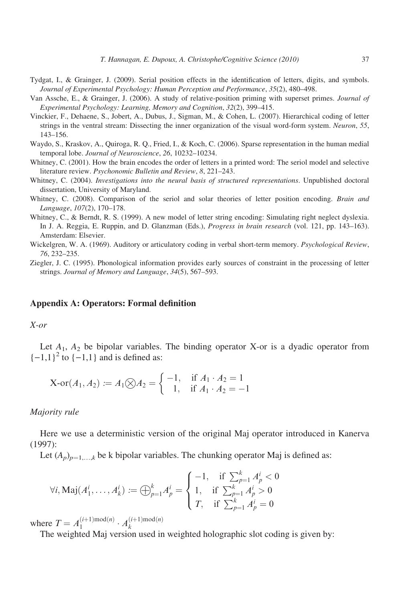- Tydgat, I., & Grainger, J. (2009). Serial position effects in the identification of letters, digits, and symbols. Journal of Experimental Psychology: Human Perception and Performance, 35(2), 480–498.
- Van Assche, E., & Grainger, J. (2006). A study of relative-position priming with superset primes. Journal of Experimental Psychology: Learning, Memory and Cognition, 32(2), 399–415.
- Vinckier, F., Dehaene, S., Jobert, A., Dubus, J., Sigman, M., & Cohen, L. (2007). Hierarchical coding of letter strings in the ventral stream: Dissecting the inner organization of the visual word-form system. Neuron, 55, 143–156.
- Waydo, S., Kraskov, A., Quiroga, R. Q., Fried, I., & Koch, C. (2006). Sparse representation in the human medial temporal lobe. Journal of Neuroscience, 26, 10232–10234.
- Whitney, C. (2001). How the brain encodes the order of letters in a printed word: The seriol model and selective literature review. Psychonomic Bulletin and Review, 8, 221–243.
- Whitney, C. (2004). Investigations into the neural basis of structured representations. Unpublished doctoral dissertation, University of Maryland.
- Whitney, C. (2008). Comparison of the seriol and solar theories of letter position encoding. Brain and Language, 107(2), 170–178.
- Whitney, C., & Berndt, R. S. (1999). A new model of letter string encoding: Simulating right neglect dyslexia. In J. A. Reggia, E. Ruppin, and D. Glanzman (Eds.), Progress in brain research (vol. 121, pp. 143–163). Amsterdam: Elsevier.
- Wickelgren, W. A. (1969). Auditory or articulatory coding in verbal short-term memory. Psychological Review, 76, 232–235.
- Ziegler, J. C. (1995). Phonological information provides early sources of constraint in the processing of letter strings. Journal of Memory and Language, 34(5), 567–593.

# Appendix A: Operators: Formal definition

X-or

Let  $A_1$ ,  $A_2$  be bipolar variables. The binding operator X-or is a dyadic operator from  ${-1,1}^2$  to  ${-1,1}$  and is defined as:

$$
\text{X-or}(A_1, A_2) := A_1 \textcircled{x} A_2 = \begin{cases} -1, & \text{if } A_1 \cdot A_2 = 1 \\ 1, & \text{if } A_1 \cdot A_2 = -1 \end{cases}
$$

#### Majority rule

Here we use a deterministic version of the original Maj operator introduced in Kanerva (1997):

Let  $(A_p)_{p=1,...,k}$  be k bipolar variables. The chunking operator Maj is defined as:

$$
\forall i, \text{Maj}(A_1^i, \dots, A_k^i) := \bigoplus_{p=1}^k A_p^i = \begin{cases} -1, & \text{if } \sum_{p=1}^k A_p^i < 0 \\ 1, & \text{if } \sum_{p=1}^k A_p^i > 0 \\ T, & \text{if } \sum_{p=1}^k A_p^i = 0 \end{cases}
$$

where  $T = A_1^{(i+1) \mod(n)} \cdot A_k^{(i+1) \mod(n)}$ 

The weighted Maj version used in weighted holographic slot coding is given by: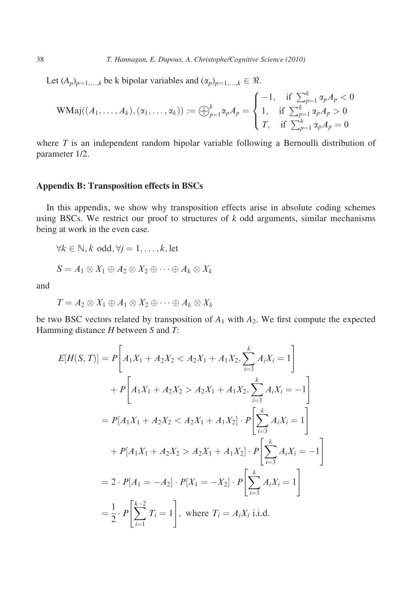38 T. Hannagan, E. Dupoux, A. Christophe/Cognitive Science (2010)

Let  $(A_p)_{p=1,...,k}$  be k bipolar variables and  $(\alpha_p)_{p=1,...,k} \in \Re$ .

$$
\text{WMaj}((A_1, ..., A_k), (\alpha_1, ..., \alpha_k)) := \bigoplus_{p=1}^k \alpha_p A_p = \begin{cases} -1, & \text{if } \sum_{p=1}^k \alpha_p A_p < 0 \\ 1, & \text{if } \sum_{p=1}^k \alpha_p A_p > 0 \\ T, & \text{if } \sum_{p=1}^k \alpha_p A_p = 0 \end{cases}
$$

where  $T$  is an independent random bipolar variable following a Bernoulli distribution of parameter 1/2.

# Appendix B: Transposition effects in BSCs

In this appendix, we show why transposition effects arise in absolute coding schemes using BSCs. We restrict our proof to structures of  $k$  odd arguments, similar mechanisms being at work in the even case.

$$
\forall k \in \mathbb{N}, k \text{ odd}, \forall j = 1, \dots, k, \text{let}
$$

$$
S = A_1 \otimes X_1 \oplus A_2 \otimes X_2 \oplus \dots \oplus A_k \otimes X_k
$$

and

$$
T = A_2 \otimes X_1 \oplus A_1 \otimes X_2 \oplus \cdots \oplus A_k \otimes X_k
$$

be two BSC vectors related by transposition of  $A_1$  with  $A_2$ . We first compute the expected Hamming distance  $H$  between  $S$  and  $T$ :

$$
E[H(S, T)] = P\left[A_1X_1 + A_2X_2 < A_2X_1 + A_1X_2, \sum_{i=3}^k A_iX_i = 1\right]
$$
  
+ 
$$
P\left[A_1X_1 + A_2X_2 > A_2X_1 + A_1X_2, \sum_{i=3}^k A_iX_i = -1\right]
$$
  
= 
$$
P[A_1X_1 + A_2X_2 < A_2X_1 + A_1X_2] \cdot P\left[\sum_{i=3}^k A_iX_i = 1\right]
$$
  
+ 
$$
P[A_1X_1 + A_2X_2 > A_2X_1 + A_1X_2] \cdot P\left[\sum_{i=3}^k A_iX_i = -1\right]
$$
  
= 
$$
2 \cdot P[A_1 = -A_2] \cdot P[X_1 = -X_2] \cdot P\left[\sum_{i=3}^k A_iX_i = 1\right]
$$
  
= 
$$
\frac{1}{2} \cdot P\left[\sum_{i=1}^{k-2} T_i = 1\right], \text{ where } T_i = A_iX_i \text{ i.i.d.}
$$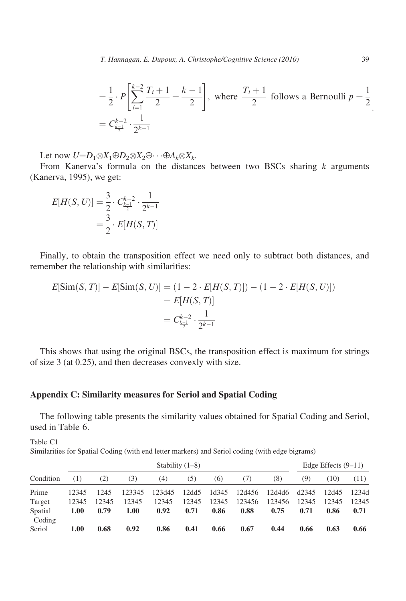$$
= \frac{1}{2} \cdot P \left[ \sum_{i=1}^{k-2} \frac{T_i + 1}{2} = \frac{k-1}{2} \right], \text{ where } \frac{T_i + 1}{2} \text{ follows a Bernoulli } p = \frac{1}{2}.
$$
  
=  $C_{\frac{k-1}{2}}^{k-2} \cdot \frac{1}{2^{k-1}}$ 

Let now  $U=D_1\otimes X_1\oplus D_2\otimes X_2\oplus\cdots\oplus A_k\otimes X_k$ .

From Kanerva's formula on the distances between two BSCs sharing  $k$  arguments (Kanerva, 1995), we get:

$$
E[H(S, U)] = \frac{3}{2} \cdot C_{\frac{k-1}{2}}^{k-2} \cdot \frac{1}{2^{k-1}}
$$
  
=  $\frac{3}{2} \cdot E[H(S, T)]$ 

Table C1

Finally, to obtain the transposition effect we need only to subtract both distances, and remember the relationship with similarities:

$$
E[\text{Sim}(S, T)] - E[\text{Sim}(S, U)] = (1 - 2 \cdot E[H(S, T)]) - (1 - 2 \cdot E[H(S, U)])
$$
  
= 
$$
E[H(S, T)]
$$
  
= 
$$
C_{\frac{k-2}{2}}^{k-2} \cdot \frac{1}{2^{k-1}}
$$

This shows that using the original BSCs, the transposition effect is maximum for strings of size 3 (at 0.25), and then decreases convexly with size.

### Appendix C: Similarity measures for Seriol and Spatial Coding

The following table presents the similarity values obtained for Spatial Coding and Seriol, used in Table 6.

| Similarities for Spatial Coding (with end letter markers) and Seriol coding (with edge bigrams) |       |       |        |        |                   |       |        |        |                   |                       |       |
|-------------------------------------------------------------------------------------------------|-------|-------|--------|--------|-------------------|-------|--------|--------|-------------------|-----------------------|-------|
|                                                                                                 |       |       |        |        | Stability $(1-8)$ |       |        |        |                   | Edge Effects $(9-11)$ |       |
| Condition                                                                                       | (1)   | (2)   | (3)    | (4)    | (5)               | (6)   | (7)    | (8)    | (9)               | (10)                  | (11)  |
| Prime                                                                                           | 12345 | 1245  | 123345 | 123d45 | 12dd5             | 1d345 | 12d456 | 12d4d6 | d <sub>2345</sub> | 12d45                 | 1234d |
| Target                                                                                          | 12345 | 12345 | 12345  | 12345  | 12345             | 12345 | 123456 | 123456 | 12345             | 12345                 | 12345 |
| Spatial<br>Coding                                                                               | 1.00  | 0.79  | 1.00   | 0.92   | 0.71              | 0.86  | 0.88   | 0.75   | 0.71              | 0.86                  | 0.71  |
| Seriol                                                                                          | 1.00  | 0.68  | 0.92   | 0.86   | 0.41              | 0.66  | 0.67   | 0.44   | 0.66              | 0.63                  | 0.66  |